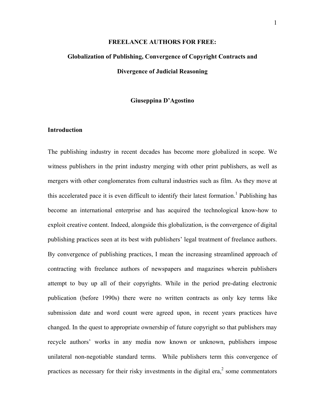# **FREELANCE AUTHORS FOR FREE: Globalization of Publishing, Convergence of Copyright Contracts and Divergence of Judicial Reasoning**

#### **Giuseppina D'Agostino**

#### **Introduction**

The publishing industry in recent decades has become more globalized in scope. We witness publishers in the print industry merging with other print publishers, as well as mergers with other conglomerates from cultural industries such as film. As they move at this accelerated pace it is even difficult to identify their latest formation.<sup>1</sup> Publishing has become an international enterprise and has acquired the technological know-how to exploit creative content. Indeed, alongside this globalization, is the convergence of digital publishing practices seen at its best with publishers' legal treatment of freelance authors. By convergence of publishing practices, I mean the increasing streamlined approach of contracting with freelance authors of newspapers and magazines wherein publishers attempt to buy up all of their copyrights. While in the period pre-dating electronic publication (before 1990s) there were no written contracts as only key terms like submission date and word count were agreed upon, in recent years practices have changed. In the quest to appropriate ownership of future copyright so that publishers may recycle authors' works in any media now known or unknown, publishers impose unilateral non-negotiable standard terms. While publishers term this convergence of practices as necessary for their risky investments in the digital era, $<sup>2</sup>$  some commentators</sup>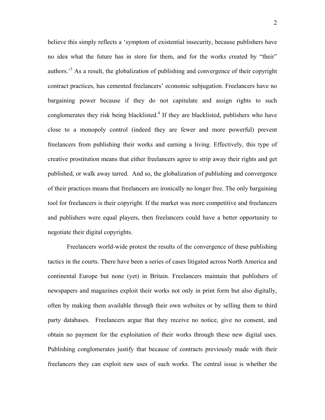believe this simply reflects a 'symptom of existential insecurity, because publishers have no idea what the future has in store for them, and for the works created by "their" authors.<sup>[3](#page-71-2)</sup> As a result, the globalization of publishing and convergence of their copyright contract practices, has cemented freelancers' economic subjugation. Freelancers have no bargaining power because if they do not capitulate and assign rights to such conglomerates they risk being blacklisted.<sup>[4](#page-71-3)</sup> If they are blacklisted, publishers who have close to a monopoly control (indeed they are fewer and more powerful) prevent freelancers from publishing their works and earning a living. Effectively, this type of creative prostitution means that either freelancers agree to strip away their rights and get published, or walk away tarred. And so, the globalization of publishing and convergence of their practices means that freelancers are ironically no longer free. The only bargaining tool for freelancers is their copyright. If the market was more competitive and freelancers and publishers were equal players, then freelancers could have a better opportunity to negotiate their digital copyrights.

Freelancers world-wide protest the results of the convergence of these publishing tactics in the courts. There have been a series of cases litigated across North America and continental Europe but none (yet) in Britain. Freelancers maintain that publishers of newspapers and magazines exploit their works not only in print form but also digitally, often by making them available through their own websites or by selling them to third party databases. Freelancers argue that they receive no notice, give no consent, and obtain no payment for the exploitation of their works through these new digital uses. Publishing conglomerates justify that because of contracts previously made with their freelancers they can exploit new uses of such works. The central issue is whether the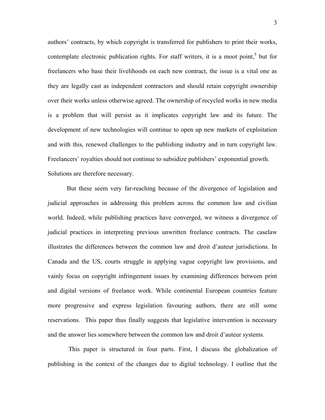authors' contracts, by which copyright is transferred for publishers to print their works, contemplate electronic publication rights. For staff writers, it is a moot point,<sup>[5](#page-71-4)</sup> but for freelancers who base their livelihoods on each new contract, the issue is a vital one as they are legally cast as independent contractors and should retain copyright ownership over their works unless otherwise agreed. The ownership of recycled works in new media is a problem that will persist as it implicates copyright law and its future. The development of new technologies will continue to open up new markets of exploitation and with this, renewed challenges to the publishing industry and in turn copyright law. Freelancers' royalties should not continue to subsidize publishers' exponential growth. Solutions are therefore necessary.

But these seem very far-reaching because of the divergence of legislation and judicial approaches in addressing this problem across the common law and civilian world. Indeed, while publishing practices have converged, we witness a divergence of judicial practices in interpreting previous unwritten freelance contracts. The caselaw illustrates the differences between the common law and droit d'auteur jurisdictions. In Canada and the US, courts struggle in applying vague copyright law provisions, and vainly focus on copyright infringement issues by examining differences between print and digital versions of freelance work. While continental European countries feature more progressive and express legislation favouring authors, there are still some reservations. This paper thus finally suggests that legislative intervention is necessary and the answer lies somewhere between the common law and droit d'auteur systems.

This paper is structured in four parts. First, I discuss the globalization of publishing in the context of the changes due to digital technology. I outline that the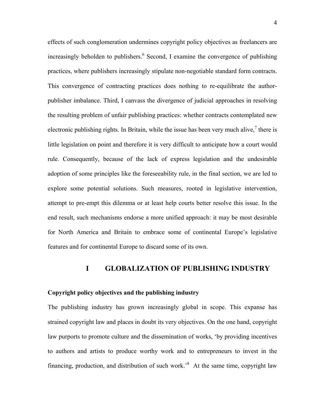effects of such conglomeration undermines copyright policy objectives as freelancers are increasingly beholden to publishers.<sup>[6](#page-71-4)</sup> Second, I examine the convergence of publishing practices, where publishers increasingly stipulate non-negotiable standard form contracts. This convergence of contracting practices does nothing to re-equilibrate the authorpublisher imbalance. Third, I canvass the divergence of judicial approaches in resolving the resulting problem of unfair publishing practices: whether contracts contemplated new electronic publishing rights. In Britain, while [t](#page-71-5)he issue has been very much alive, $\frac{7}{1}$  there is little legislation on point and therefore it is very difficult to anticipate how a court would rule. Consequently, because of the lack of express legislation and the undesirable adoption of some principles like the foreseeability rule, in the final section, we are led to explore some potential solutions. Such measures, rooted in legislative intervention, attempt to pre-empt this dilemma or at least help courts better resolve this issue. In the end result, such mechanisms endorse a more unified approach: it may be most desirable for North America and Britain to embrace some of continental Europe's legislative features and for continental Europe to discard some of its own.

## **I GLOBALIZATION OF PUBLISHING INDUSTRY**

#### **Copyright policy objectives and the publishing industry**

The publishing industry has grown increasingly global in scope. This expanse has strained copyright law and places in doubt its very objectives. On the one hand, copyright law purports to promote culture and the dissemination of works, 'by providing incentives to authors and artists to produce worthy work and to entrepreneurs to invest in the financing, production, and distribution of such work.<sup>[8](#page-71-6)</sup> At the same time, copyright law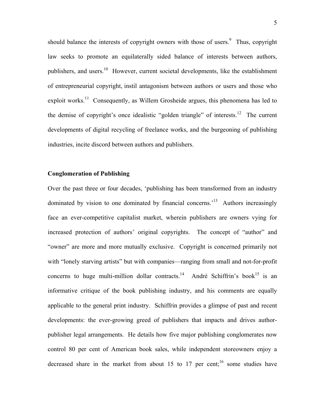should balance the interests of copyright owners with those of users.<sup>[9](#page-71-7)</sup> Thus, copyright law seeks to promote an equilaterally sided balance of interests between authors, publishers, and users.<sup>10</sup> However, current societal developments, like the establishment of entrepreneurial copyright, instil antagonism between authors or users and those who exploit works.<sup>11</sup> Consequently, as Willem Grosheide argues, this phenomena has led to the demise of copyright's once idealistic "golden triangle" of interests.<sup>12</sup> The current developments of digital recycling of freelance works, and the burgeoning of publishing industries, incite discord between authors and publishers.

#### **Conglomeration of Publishing**

Over the past three or four decades, 'publishing has been transformed from an industry dominated by vision to one dominated by financial concerns.['13](#page-71-9) Authors increasingly face an ever-competitive capitalist market, wherein publishers are owners vying for increased protection of authors' original copyrights. The concept of "author" and "owner" are more and more mutually exclusive. Copyright is concerned primarily not with "lonely starving artists" but with companies—ranging from small and not-for-profit concerns to huge multi-million dollar contracts.<sup>14</sup> André Schiffrin's book<sup>15</sup> is an informative critique of the book publishing industry, and his comments are equally applicable to the general print industry. Schiffrin provides a glimpse of past and recent developments: the ever-growing greed of publishers that impacts and drives authorpublisher legal arrangements. He details how five major publishing conglomerates now control 80 per cent of American book sales, while independent storeowners enjoy a decreased share in the market from about 15 to 17 per cent;<sup>16</sup> some studies have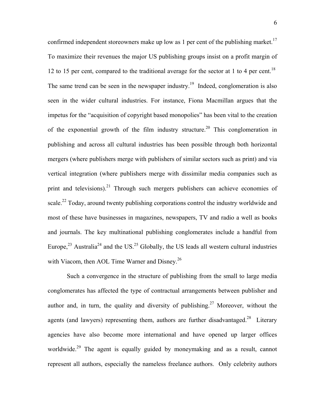confirmed independent storeowners make up low as 1 per cent of the publishing market.<sup>[17](#page-71-4)</sup> To maximize their revenues the major US publishing groups insist on a profit margin of 12 to 15 per cent, compared to the traditional average for the sector at 1 to 4 per cent.<sup>18</sup> The same trend can be seen in the newspaper industry.<sup>19</sup> Indeed, conglomeration is also seen in the wider cultural industries. For instance, Fiona Macmillan argues that the impetus for the "acquisition of copyright based monopolies" has been vital to the creation of the exponential growth of the film industry structure.<sup>20</sup> This conglomeration in publishing and across all cultural industries has been possible through both horizontal mergers (where publishers merge with publishers of similar sectors such as print) and via vertical integration (where publishers merge with dissimilar media companies such as print and televisions).<sup>21</sup> Through such mergers publishers can achieve economies of scale.<sup>22</sup> Today, around twenty publishing corporations control the industry worldwide and most of these have businesses in magazines, newspapers, TV and radio a well as books and journals. The key multinational publishing conglomerates include a handful from Europe,<sup>23</sup> Australia<sup>24</sup> and the US.<sup>25</sup> Globally, the US leads all western cultural industries with Viacom, then AOL Time Warner and Disney.<sup>26</sup>

Such a convergence in the structure of publishing from the small to large media conglomerates has affected the type of contractual arrangements between publisher and author and, in turn, the quality and diversity of publishing.<sup>27</sup> Moreover, without the agents (and lawyers) representing them, authors are further disadvantaged.<sup>28</sup> Literary agencies have also become more international and have opened up larger offices worldwide.<sup>29</sup> The agent is equally guided by moneymaking and as a result, cannot represent all authors, especially the nameless freelance authors. Only celebrity authors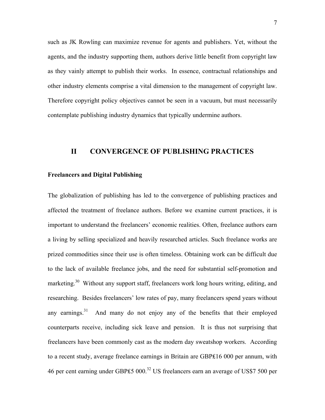such as JK Rowling can maximize revenue for agents and publishers. Yet, without the agents, and the industry supporting them, authors derive little benefit from copyright law as they vainly attempt to publish their works. In essence, contractual relationships and other industry elements comprise a vital dimension to the management of copyright law. Therefore copyright policy objectives cannot be seen in a vacuum, but must necessarily contemplate publishing industry dynamics that typically undermine authors.

# **II CONVERGENCE OF PUBLISHING PRACTICES**

#### **Freelancers and Digital Publishing**

The globalization of publishing has led to the convergence of publishing practices and affected the treatment of freelance authors. Before we examine current practices, it is important to understand the freelancers' economic realities. Often, freelance authors earn a living by selling specialized and heavily researched articles. Such freelance works are prized commodities since their use is often timeless. Obtaining work can be difficult due to the lack of available freelance jobs, and the need for substantial self-promotion and marketing.<sup>30</sup> Without any support staff, freelancers work long hours writing, editing, and researching. Besides freelancers' low rates of pay, many freelancers spend years without any earnings.<sup>31</sup> And many do not enjoy any of the benefits that their employed counterparts receive, including sick leave and pension. It is thus not surprising that freelancers have been commonly cast as the modern day sweatshop workers. According to a recent study, average freelance earnings in Britain are GBP₤16 000 per annum, with 46 per cent earning under GBP₤5 000.[32](#page-71-21) US freelancers earn an average of US\$7 500 per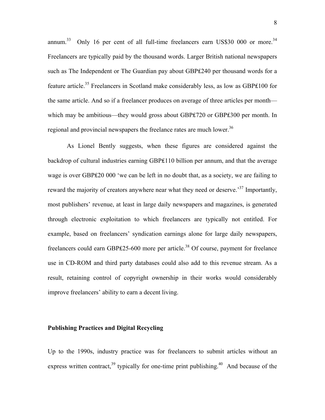annum.<sup>33</sup>Only 16 per cent of all full-time freelancers earn US\$30 000 or more[.](#page-71-22)<sup>34</sup> Freelancers are typically paid by the thousand words. Larger British national newspapers such as The Independent or The Guardian pay about GBP₤240 per thousand words for a feature article[.](#page-71-23)35Freelancers in Scotland make considerably less, as low as GBP₤100 for the same article. And so if a freelancer produces on average of three articles per month which may be ambitious—they would gross about GBP₤720 or GBP₤300 per month. In regional and provincial newspapers the freelance rates are much lower[.](#page-71-24)<sup>36</sup>

As Lionel Bently suggests, when these figures are considered against the backdrop of cultural industries earning GBP₤110 billion per annum, and that the average wage is over GBP₤20 000 'we can be left in no doubt that, as a society, we are failing to reward the majority of creators anywhere near what they need or deserve.<sup>37</sup> Importantly, most publishers' revenue, at least in large daily newspapers and magazines, is generated through electronic exploitation to which freelancers are typically not entitled. For example, based on freelancers' syndication earnings alone for large daily newspapers, freelancers could earn GBP₤25-600 more per article[.38](#page-71-26) Of course, payment for freelance use in CD-ROM and third party databases could also add to this revenue stream. As a result, retaining control of copyright ownership in their works would considerably improve freelancers' ability to earn a decent living.

# **Publishing Practices and Digital Recycling**

Up to the 1990s, industry practice was for freelancers to submit articles without an express written contract,<sup>39</sup> typically for one-time print publishing.<sup>40</sup> And because of the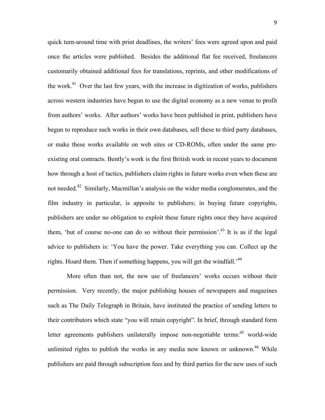quick turn-around time with print deadlines, the writers' fees were agreed upon and paid once the articles were published. Besides the additional flat fee received, freelancers customarily obtained additional fees for translations, reprints, and other modifications of the work.<sup>41</sup> Over the last few years, with the increase in digitization of works, publishers across western industries have begun to use the digital economy as a new venue to profit from authors' works. After authors' works have been published in print, publishers have begun to reproduce such works in their own databases, sell these to third party databases, or make these works available on web sites or CD-ROMs, often under the same preexisting oral contracts. Bently's work is the first British work in recent years to document how through a host of tactics, publishers claim rights in future works even when these are not needed.<sup>42</sup> Similarly, Macmillan's analysis on the wider media conglomerates, and the film industry in particular, is apposite to publishers; in buying future copyrights, publishers are under no obligation to exploit these future rights once they have acquired them, 'but of course no-one can do so without their permission'.<sup>43</sup> It is as if the legal advice to publishers is: 'You have the power. Take everything you can. Collect up the rights. Hoard them. Then if something happens, you will get the windfall.<sup>[44](#page-71-10)</sup>

More often than not, the new use of freelancers' works occurs without their permission. Very recently, the major publishing houses of newspapers and magazines such as The Daily Telegraph in Britain, have instituted the practice of sending letters to their contributors which state "you will retain copyright". In brief, through standard form letter agreements publishers unilaterally impose non-negotiable terms:<sup>45</sup> world-wide unlimited rights to publish the works in any media now known or unknown.<sup>46</sup> While publishers are paid through subscription fees and by third parties for the new uses of such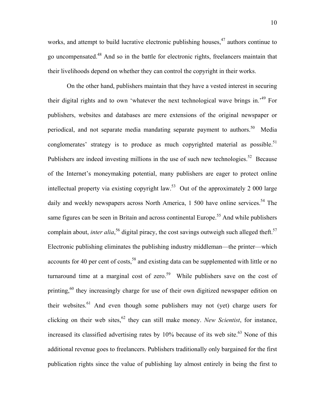works, and attempt to build lucrative electronic publishing houses,  $47$  authors continue to go uncompensated.[48](#page-71-4) And so in the battle for electronic rights, freelancers maintain that their livelihoods depend on whether they can control the copyright in their works.

On the other hand, publishers maintain that they have a vested interest in securing their digital rights and to own 'whatever the next technological wave brings in.<sup> $49$ </sup> For publishers, websites and databases are mere extensions of the original newspaper or periodical, and not separate media mandating separate payment to authors.<sup>50</sup> Media conglomerates' strategy is to produce as much copyrighted material as possible.<sup>51</sup> Publishers are indeed investing millions in the use of such new technologies.<sup>52</sup> Because of the Internet's moneymaking potential, many publishers are eager to protect online intellectual property via existing copyright law.<sup>53</sup> Out of the approximately 2 000 large daily and weekly newspapers across North America,  $1\,$  500 have online services.<sup>54</sup> The same figures can be seen in Britain and across continental Europe.<sup>55</sup> And while publishers complain about, *inter alia*,<sup>56</sup> digital piracy, the cost savings outweigh such alleged theft.<sup>57</sup> Electronic publishing eliminates the publishing industry middleman—the printer—which accounts for 40 per cent of costs,<sup>58</sup> and existing data can be supplemented with little or no turnaround time at a marginal cost of zero.<sup>59</sup> While publishers save on the cost of printing,<sup>60</sup> they increasingly charge for use of their own digitized newspaper edition on their websites.<sup>61</sup> And even though some publishers may not (yet) charge users for clicking on their web sites,<sup>62</sup> they can still make money. *New Scientist*, for instance, increased its classified advertising rates by  $10\%$  because of its web site.<sup>63</sup> None of this additional revenue goes to freelancers. Publishers traditionally only bargained for the first publication rights since the value of publishing lay almost entirely in being the first to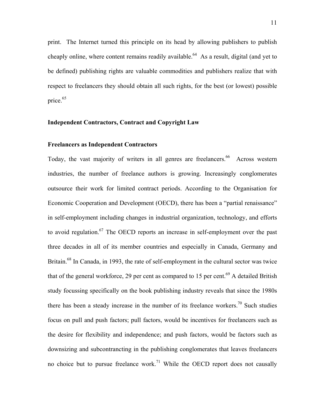print. The Internet turned this principle on its head by allowing publishers to publish cheaply online, where content remains readily available.<sup>64</sup> As a result, digital (and yet to be defined) publishing rights are valuable commodities and publishers realize that with respect to freelancers they should obtain all such rights, for the best (or lowest) possible price. $65$ 

# **Independent Contractors, Contract and Copyright Law**

#### **Freelancers as Independent Contractors**

Today, the vast majority of writers in all genres are freelancers.<sup>66</sup> Across western industries, the number of freelance authors is growing. Increasingly conglomerates outsource their work for limited contract periods. According to the Organisation for Economic Cooperation and Development (OECD), there has been a "partial renaissance" in self-employment including changes in industrial organization, technology, and efforts to avoid regulation.<sup>67</sup> The OECD reports an increase in self-employment over the past three decades in all of its member countries and especially in Canada, Germany and Britain.<sup>68</sup> In Canada, in 1993, the rate of self-employment in the cultural sector was twice that of the general workforce, 29 per cent as compared to 15 per cent.<sup>69</sup> A detailed British study focussing specifically on the book publishing industry reveals that since the 1980s there has been a steady increase in the number of its freelance workers.<sup>70</sup> Such studies focus on pull and push factors; pull factors, would be incentives for freelancers such as the desire for flexibility and independence; and push factors, would be factors such as downsizing and subcontrancting in the publishing conglomerates that leaves freelancers no choice but to pursue freelance work.<sup>71</sup> While the OECD report does not causally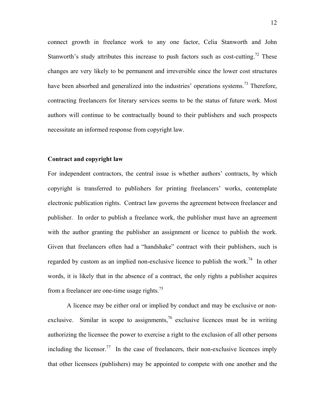connect growth in freelance work to any one factor, Celia Stanworth and John Stanworth's study attributes this increase to push factors such as cost-cutting.<sup>72</sup> These changes are very likely to be permanent and irreversible since the lower cost structures have been absorbed and generalized into the industries' operations systems.<sup>73</sup> Therefore, contracting freelancers for literary services seems to be the status of future work. Most authors will continue to be contractually bound to their publishers and such prospects necessitate an informed response from copyright law.

#### **Contract and copyright law**

For independent contractors, the central issue is whether authors' contracts, by which copyright is transferred to publishers for printing freelancers' works, contemplate electronic publication rights. Contract law governs the agreement between freelancer and publisher. In order to publish a freelance work, the publisher must have an agreement with the author granting the publisher an assignment or licence to publish the work. Given that freelancers often had a "handshake" contract with their publishers, such is regarded by custom as an implied non-exclusive licence to publish the work.<sup>74</sup> In other words, it is likely that in the absence of a contract, the only rights a publisher acquires from a freelancer are one-time usage rights.<sup>[75](#page-71-16)</sup>

A licence may be either oral or implied by conduct and may be exclusive or nonexclusive. Similar in scope to assignments,  $\frac{76}{10}$  exclusive licences must be in writing authorizing the licensee the power to exercise a right to the exclusion of all other persons including the licensor.<sup>77</sup> In the case of freelancers, their non-exclusive licences imply that other licensees (publishers) may be appointed to compete with one another and the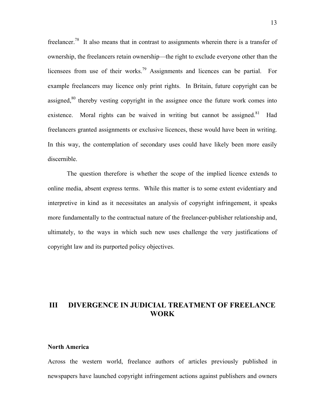freelancer[.78](#page-71-7) It also means that in contrast to assignments wherein there is a transfer of ownership, the freelancers retain ownership—the right to exclude everyone other than the licensees from use of their works.<sup>79</sup> Assignments and licences can be partial. For example freelancers may licence only print rights. In Britain, future copyright can be assigned, $80$  thereby vesting copyright in the assignee once the future work comes into existence. Moral rights can be waived in writing but cannot be assigned.<sup>81</sup> Had freelancers granted assignments or exclusive licences, these would have been in writing. In this way, the contemplation of secondary uses could have likely been more easily discernible.

The question therefore is whether the scope of the implied licence extends to online media, absent express terms. While this matter is to some extent evidentiary and interpretive in kind as it necessitates an analysis of copyright infringement, it speaks more fundamentally to the contractual nature of the freelancer-publisher relationship and, ultimately, to the ways in which such new uses challenge the very justifications of copyright law and its purported policy objectives.

# **III DIVERGENCE IN JUDICIAL TREATMENT OF FREELANCE WORK**

#### **North America**

Across the western world, freelance authors of articles previously published in newspapers have launched copyright infringement actions against publishers and owners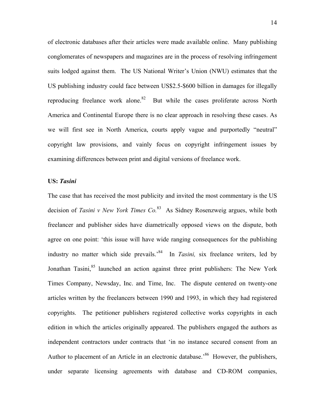of electronic databases after their articles were made available online. Many publishing conglomerates of newspapers and magazines are in the process of resolving infringement suits lodged against them. The US National Writer's Union (NWU) estimates that the US publishing industry could face between US\$2.5-\$600 billion in damages for illegally reproducing freelance work alone.<sup>82</sup> But while the cases proliferate across North America and Continental Europe there is no clear approach in resolving these cases. As we will first see in North America, courts apply vague and purportedly "neutral" copyright law provisions, and vainly focus on copyright infringement issues by examining differences between print and digital versions of freelance work.

## **US:** *Tasini*

The case that has received the most publicity and invited the most commentary is the US decision of *Tasini v New York Times Co.*[83](#page-71-33) As Sidney Rosenzweig argues, while both freelancer and publisher sides have diametrically opposed views on the dispute, both agree on one point: 'this issue will have wide ranging consequences for the publishing industry no matter which side prevails.'[84](#page-71-34) In *Tasini,* six freelance writers, led by Jonathan Tasini,<sup>85</sup> launched an action against three print publishers: The New York Times Company, Newsday, Inc. and Time, Inc. The dispute centered on twenty-one articles written by the freelancers between 1990 and 1993, in which they had registered copyrights. The petitioner publishers registered collective works copyrights in each edition in which the articles originally appeared. The publishers engaged the authors as independent contractors under contracts that 'in no instance secured consent from an Author to placement of an Article in an electronic database.<sup>86</sup> However, the publishers, under separate licensing agreements with database and CD-ROM companies,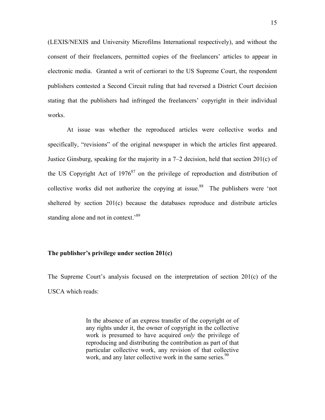(LEXIS/NEXIS and University Microfilms International respectively), and without the consent of their freelancers, permitted copies of the freelancers' articles to appear in electronic media. Granted a writ of certiorari to the US Supreme Court, the respondent publishers contested a Second Circuit ruling that had reversed a District Court decision stating that the publishers had infringed the freelancers' copyright in their individual works.

At issue was whether the reproduced articles were collective works and specifically, "revisions" of the original newspaper in which the articles first appeared. Justice Ginsburg, speaking for the majority in a  $7-2$  decision, held that section  $201(c)$  of the US Copyright Act of  $1976^{87}$  on the privilege of reproduction and distribution of collective works did not authorize the copying at issue.<sup>88</sup> The publishers were 'not sheltered by section 201(c) because the databases reproduce and distribute articles standing alone and not in context.<sup>89</sup>

#### **The publisher's privilege under section 201(c)**

The Supreme Court's analysis focused on the interpretation of section 201(c) of the USCA which reads:

> In the absence of an express transfer of the copyright or of any rights under it, the owner of copyright in the collective work is presumed to have acquired *only* the privilege of reproducing and distributing the contribution as part of that particular collective work, any revision of that collective work, and any later collective work in the same series.<sup>90</sup>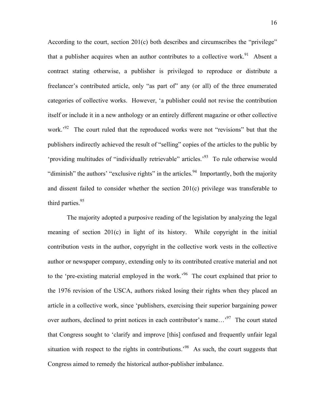According to the court, section 201(c) both describes and circumscribes the "privilege" that a publisher acquires when an author contributes to a collective work.<sup>91</sup> Absent a contract stating otherwise, a publisher is privileged to reproduce or distribute a freelancer's contributed article, only "as part of" any (or all) of the three enumerated categories of collective works. However, 'a publisher could not revise the contribution itself or include it in a new anthology or an entirely different magazine or other collective work.<sup>'92</sup> The court ruled that the reproduced works were not "revisions" but that the publishers indirectly achieved the result of "selling" copies of the articles to the public by 'providing multitudes of "individually retrievable" articles.'[93](#page-71-30) To rule otherwise would "diminish" the authors' "exclusive rights" in the articles.<sup>94</sup> Importantly, both the majority and dissent failed to consider whether the section 201(c) privilege was transferable to third parties.  $95$ 

The majority adopted a purposive reading of the legislation by analyzing the legal meaning of section 201(c) in light of its history. While copyright in the initial contribution vests in the author, copyright in the collective work vests in the collective author or newspaper company, extending only to its contributed creative material and not to the 'pre-existing material employed in the work.<sup>96</sup> The court explained that prior to the 1976 revision of the USCA, authors risked losing their rights when they placed an article in a collective work, since 'publishers, exercising their superior bargaining power over authors, declined to print notices in each contributor's name...<sup>97</sup> The court stated that Congress sought to 'clarify and improve [this] confused and frequently unfair legal situation with respect to the rights in contributions.<sup>98</sup> As such, the court suggests that Congress aimed to remedy the historical author-publisher imbalance.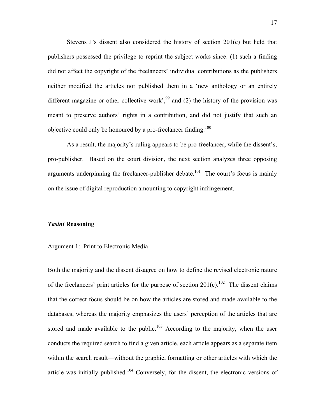Stevens J's dissent also considered the history of section 201(c) but held that publishers possessed the privilege to reprint the subject works since: (1) such a finding did not affect the copyright of the freelancers' individual contributions as the publishers neither modified the articles nor published them in a 'new anthology or an entirely different magazine or other collective work',<sup>99</sup> and (2) the history of the provision was meant to preserve authors' rights in a contribution, and did not justify that such an objective could only be honoured by a pro-freelancer finding.<sup>100</sup>

As a result, the majority's ruling appears to be pro-freelancer, while the dissent's, pro-publisher. Based on the court division, the next section analyzes three opposing arguments underpinning the freelancer-publisher debate.<sup>101</sup> The court's focus is mainly on the issue of digital reproduction amounting to copyright infringement.

#### *Tasini* **Reasoning**

#### Argument 1: Print to Electronic Media

Both the majority and the dissent disagree on how to define the revised electronic nature of the freelancers' print articles for the purpose of section  $201(c)$ .<sup>[102](#page-71-38)</sup> The dissent claims that the correct focus should be on how the articles are stored and made available to the databases, whereas the majority emphasizes the users' perception of the articles that are stored and made available to the public.<sup>103</sup> According to the majority, when the user conducts the required search to find a given article, each article appears as a separate item within the search result—without the graphic, formatting or other articles with which the article was initially published.<sup>104</sup> Conversely, for the dissent, the electronic versions of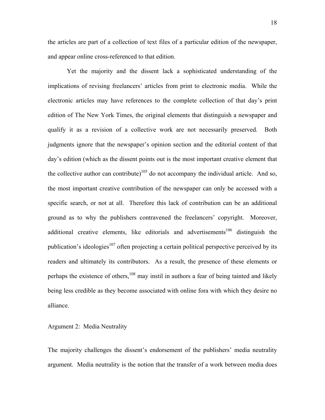the articles are part of a collection of text files of a particular edition of the newspaper, and appear online cross-referenced to that edition.

Yet the majority and the dissent lack a sophisticated understanding of the implications of revising freelancers' articles from print to electronic media. While the electronic articles may have references to the complete collection of that day's print edition of The New York Times, the original elements that distinguish a newspaper and qualify it as a revision of a collective work are not necessarily preserved. Both judgments ignore that the newspaper's opinion section and the editorial content of that day's edition (which as the dissent points out is the most important creative element that the collective author can contribute)<sup>105</sup> do not accompany the individual article. And so, the most important creative contribution of the newspaper can only be accessed with a specific search, or not at all. Therefore this lack of contribution can be an additional ground as to why the publishers contravened the freelancers' copyright. Moreover, additional creative elements, like editorials and advertisements<sup>106</sup> distinguish the publication's ideologies<sup>107</sup> often projecting a certain political perspective perceived by its readers and ultimately its contributors. As a result, the presence of these elements or perhaps the existence of others,<sup>108</sup> may instil in authors a fear of being tainted and likely being less credible as they become associated with online fora with which they desire no alliance.

Argument 2: Media Neutrality

The majority challenges the dissent's endorsement of the publishers' media neutrality argument. Media neutrality is the notion that the transfer of a work between media does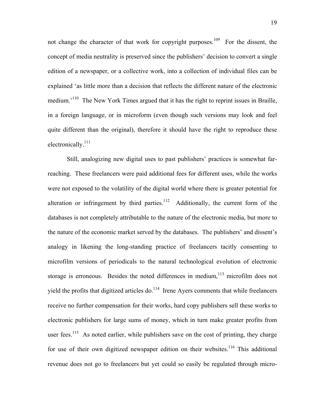not change the character of that work for copyright purposes.<sup>109</sup> For the dissent, the concept of media neutrality is preserved since the publishers' decision to convert a single edition of a newspaper, or a collective work, into a collection of individual files can be explained 'as little more than a decision that reflects the different nature of the electronic medium.<sup>'110</sup> The New York Times argued that it has the right to reprint issues in Braille, in a foreign language, or in microform (even though such versions may look and feel quite different than the original), therefore it should have the right to reproduce these electronically.<sup>111</sup>

Still, analogizing new digital uses to past publishers' practices is somewhat farreaching. These freelancers were paid additional fees for different uses, while the works were not exposed to the volatility of the digital world where there is greater potential for alteration or infringement by third parties.<sup>112</sup> Additionally, the current form of the databases is not completely attributable to the nature of the electronic media, but more to the nature of the economic market served by the databases. The publishers' and dissent's analogy in likening the long-standing practice of freelancers tacitly consenting to microfilm versions of periodicals to the natural technological evolution of electronic storage is erroneous. Besides the noted differences in medium, <sup>113</sup> microfilm does not yield the profits that digitized articles do. $114$  Irene Ayers comments that while freelancers receive no further compensation for their works, hard copy publishers sell these works to electronic publishers for large sums of money, which in turn make greater profits from user fees.<sup>115</sup> As noted earlier, while publishers save on the cost of printing, they charge for use of their own digitized newspaper edition on their websites.<sup>116</sup> This additional revenue does not go to freelancers but yet could so easily be regulated through micro-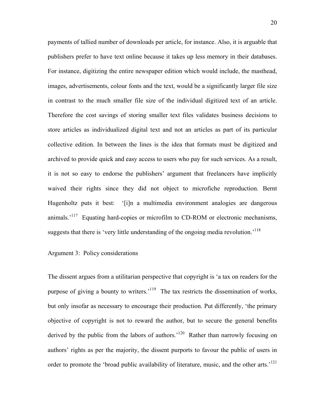payments of tallied number of downloads per article, for instance. Also, it is arguable that publishers prefer to have text online because it takes up less memory in their databases. For instance, digitizing the entire newspaper edition which would include, the masthead, images, advertisements, colour fonts and the text, would be a significantly larger file size in contrast to the much smaller file size of the individual digitized text of an article. Therefore the cost savings of storing smaller text files validates business decisions to store articles as individualized digital text and not an articles as part of its particular collective edition. In between the lines is the idea that formats must be digitized and archived to provide quick and easy access to users who pay for such services. As a result, it is not so easy to endorse the publishers' argument that freelancers have implicitly waived their rights since they did not object to microfiche reproduction. Bernt Hugenholtz puts it best: '[i]n a multimedia environment analogies are dangerous animals.<sup>'117</sup> Equating hard-copies or microfilm to CD-ROM or electronic mechanisms, suggests that there is 'very little understanding of the ongoing media revolution.<sup>118</sup>

#### Argument 3: Policy considerations

The dissent argues from a utilitarian perspective that copyright is 'a tax on readers for the purpose of giving a bounty to writers.<sup>119</sup> The tax restricts the dissemination of works, but only insofar as necessary to encourage their production. Put differently, 'the primary objective of copyright is not to reward the author, but to secure the general benefits derived by the public from the labors of authors.<sup>120</sup> Rather than narrowly focusing on authors' rights as per the majority, the dissent purports to favour the public of users in order to promote the 'broad public availability of literature, music, and the other arts.<sup>121</sup>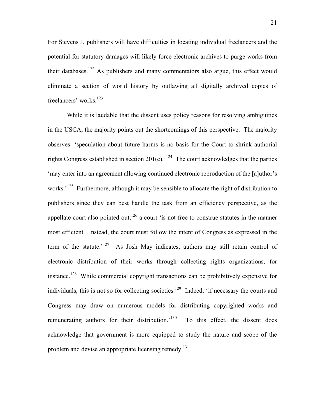For Stevens J, publishers will have difficulties in locating individual freelancers and the potential for statutory damages will likely force electronic archives to purge works from their databases.<sup>122</sup> As publishers and many commentators also argue, this effect would eliminate a section of world history by outlawing all digitally archived copies of freelancers' works.<sup>123</sup>

While it is laudable that the dissent uses policy reasons for resolving ambiguities in the USCA, the majority points out the shortcomings of this perspective. The majority observes: 'speculation about future harms is no basis for the Court to shrink authorial rights Congress established in section  $201(c)$ .<sup>'124</sup> The court acknowledges that the parties 'may enter into an agreement allowing continued electronic reproduction of the [a]uthor's works.<sup>125</sup> Furthermore, although it may be sensible to allocate the right of distribution to publishers since they can best handle the task from an efficiency perspective, as the appellate court also pointed out,<sup>126</sup> a court 'is not free to construe statutes in the manner most efficient. Instead, the court must follow the intent of Congress as expressed in the term of the statute.<sup>'127</sup> As Josh May indicates, authors may still retain control of electronic distribution of their works through collecting rights organizations, for instance.<sup>128</sup> While commercial copyright transactions can be prohibitively expensive for individuals, this is not so for collecting societies.<sup>129</sup> Indeed, 'if necessary the courts and Congress may draw on numerous models for distributing copyrighted works and remunerating authors for their distribution.<sup>'130</sup> To this effect, the dissent does acknowledge that government is more equipped to study the nature and scope of the problem and devise an appropriate licensing remedy.<sup>[131](#page-71-7)</sup>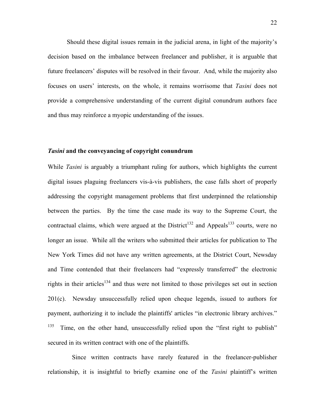Should these digital issues remain in the judicial arena, in light of the majority's decision based on the imbalance between freelancer and publisher, it is arguable that future freelancers' disputes will be resolved in their favour. And, while the majority also focuses on users' interests, on the whole, it remains worrisome that *Tasini* does not provide a comprehensive understanding of the current digital conundrum authors face and thus may reinforce a myopic understanding of the issues.

#### *Tasini* **and the conveyancing of copyright conundrum**

While *Tasini* is arguably a triumphant ruling for authors, which highlights the current digital issues plaguing freelancers vis-à-vis publishers, the case falls short of properly addressing the copyright management problems that first underpinned the relationship between the parties. By the time the case made its way to the Supreme Court, the contractual claims, which were argued at the District<sup>132</sup> and Appeals<sup>133</sup> courts, were no longer an issue. While all the writers who submitted their articles for publication to The New York Times did not have any written agreements, at the District Court, Newsday and Time contended that their freelancers had "expressly transferred" the electronic rights in their articles<sup>134</sup> and thus were not limited to those privileges set out in section 201(c). Newsday unsuccessfully relied upon cheque legends, issued to authors for payment, authorizing it to include the plaintiffs' articles "in electronic library archives."  $135$  Time, on the other hand, unsuccessfully relied upon the "first right to publish" secured in its written contract with one of the plaintiffs.

Since written contracts have rarely featured in the freelancer-publisher relationship, it is insightful to briefly examine one of the *Tasini* plaintiff's written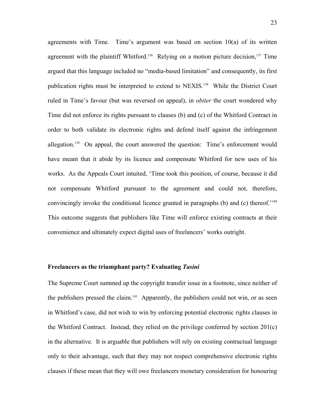agreements with Time. Time's argument was based on section 10(a) of its written agreement with the plaintiff Whitford.<sup>136</sup> Relying on a motion picture decision,<sup>137</sup> Time argued that this language included no "media-based limitation" and consequently, its first publication rights must be interpreted to extend to NEXIS.<sup>138</sup> While the District Court ruled in Time's favour (but was reversed on appeal), in *obiter* the court wondered why Time did not enforce its rights pursuant to clauses (b) and (c) of the Whitford Contract in order to both validate its electronic rights and defend itself against the infringement allegation.<sup>139</sup> On appeal, the court answered the question: Time's enforcement would have meant that it abide by its licence and compensate Whitford for new uses of his works. As the Appeals Court intuited, 'Time took this position, of course, because it did not compensate Whitford pursuant to the agreement and could not, therefore, convincingly invoke the conditional licence granted in paragraphs (b) and (c) thereof.<sup>'140</sup> This outcome suggests that publishers like Time will enforce existing contracts at their convenience and ultimately expect digital uses of freelancers' works outright.

#### **Freelancers as the triumphant party? Evaluating** *Tasini*

The Supreme Court summed up the copyright transfer issue in a footnote, since neither of the publishers pressed the claim.<sup>141</sup> Apparently, the publishers could not win, or as seen in Whitford's case, did not wish to win by enforcing potential electronic rights clauses in the Whitford Contract. Instead, they relied on the privilege conferred by section 201(c) in the alternative. It is arguable that publishers will rely on existing contractual language only to their advantage, such that they may not respect comprehensive electronic rights clauses if these mean that they will owe freelancers monetary consideration for honouring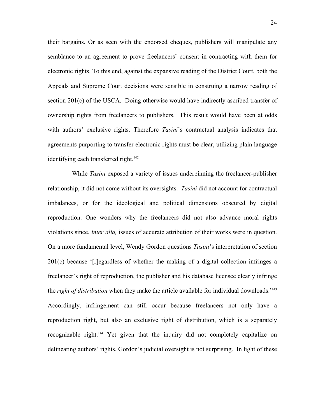their bargains. Or as seen with the endorsed cheques, publishers will manipulate any semblance to an agreement to prove freelancers' consent in contracting with them for electronic rights. To this end, against the expansive reading of the District Court, both the Appeals and Supreme Court decisions were sensible in construing a narrow reading of section 201(c) of the USCA. Doing otherwise would have indirectly ascribed transfer of ownership rights from freelancers to publishers. This result would have been at odds with authors' exclusive rights. Therefore *Tasini*'s contractual analysis indicates that agreements purporting to transfer electronic rights must be clear, utilizing plain language identifying each transferred right.<sup>142</sup>

 While *Tasini* exposed a variety of issues underpinning the freelancer-publisher relationship, it did not come without its oversights. *Tasini* did not account for contractual imbalances, or for the ideological and political dimensions obscured by digital reproduction. One wonders why the freelancers did not also advance moral rights violations since, *inter alia,* issues of accurate attribution of their works were in question. On a more fundamental level, Wendy Gordon questions *Tasini*'s interpretation of section 201(c) because '[r]egardless of whether the making of a digital collection infringes a freelancer's right of reproduction, the publisher and his database licensee clearly infringe the *right of distribution* when they make the article available for individual downloads.['143](#page-71-32)  Accordingly, infringement can still occur because freelancers not only have a reproduction right, but also an exclusive right of distribution, which is a separately recognizable right.[144](#page-71-28) Yet given that the inquiry did not completely capitalize on delineating authors' rights, Gordon's judicial oversight is not surprising. In light of these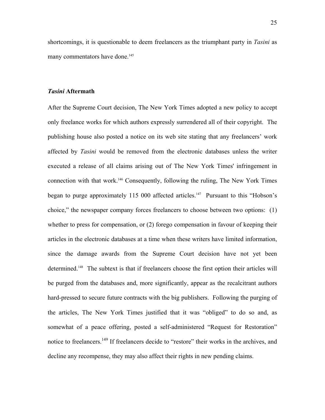shortcomings, it is questionable to deem freelancers as the triumphant party in *Tasini* as many commentators have done.<sup>145</sup>

#### *Tasini* **Aftermath**

After the Supreme Court decision, The New York Times adopted a new policy to accept only freelance works for which authors expressly surrendered all of their copyright. The publishing house also posted a notice on its web site stating that any freelancers' work affected by *Tasini* would be removed from the electronic databases unless the writer executed a release of all claims arising out of The New York Times' infringement in connection with that work[.146](#page-71-46) Consequently, following the ruling, The New York Times began to purge approximately 115 000 affected articles.<sup>147</sup> Pursuant to this "Hobson's choice," the newspaper company forces freelancers to choose between two options: (1) whether to press for compensation, or  $(2)$  forego compensation in favour of keeping their articles in the electronic databases at a time when these writers have limited information, since the damage awards from the Supreme Court decision have not yet been determined.<sup>148</sup> The subtext is that if freelancers choose the first option their articles will be purged from the databases and, more significantly, appear as the recalcitrant authors hard-pressed to secure future contracts with the big publishers. Following the purging of the articles, The New York Times justified that it was "obliged" to do so and, as somewhat of a peace offering, posted a self-administered "Request for Restoration" notice to freelancers.<sup>149</sup> If freelancers decide to "restore" their works in the archives, and decline any recompense, they may also affect their rights in new pending claims.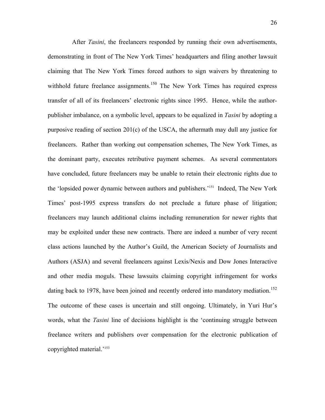After *Tasini*, the freelancers responded by running their own advertisements, demonstrating in front of The New York Times' headquarters and filing another lawsuit claiming that The New York Times forced authors to sign waivers by threatening to withhold future freelance assignments.<sup>150</sup> The New York Times has required express transfer of all of its freelancers' electronic rights since 1995. Hence, while the authorpublisher imbalance, on a symbolic level, appears to be equalized in *Tasini* by adopting a purposive reading of section 201(c) of the USCA, the aftermath may dull any justice for freelancers. Rather than working out compensation schemes, The New York Times, as the dominant party, executes retributive payment schemes. As several commentators have concluded, future freelancers may be unable to retain their electronic rights due to the 'lopsided power dynamic between authors and publishers.'[151](#page-71-13) Indeed, The New York Times' post-1995 express transfers do not preclude a future phase of litigation; freelancers may launch additional claims including remuneration for newer rights that may be exploited under these new contracts. There are indeed a number of very recent class actions launched by the Author's Guild, the American Society of Journalists and Authors (ASJA) and several freelancers against Lexis/Nexis and Dow Jones Interactive and other media moguls. These lawsuits claiming copyright infringement for works dating back to 1978, have been joined and recently ordered into mandatory mediation.<sup>152</sup> The outcome of these cases is uncertain and still ongoing. Ultimately, in Yuri Hur's words, what the *Tasini* line of decisions highlight is the 'continuing struggle between freelance writers and publishers over compensation for the electronic publication of copyrighted material.'[153](#page-71-18)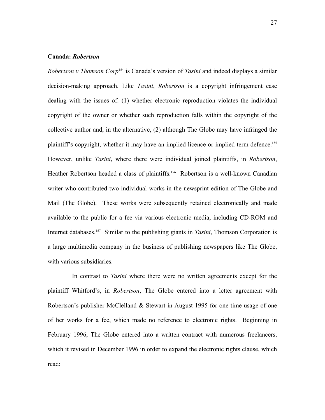#### **Canada:** *Robertson*

*Robertson v Thomson Corp*[154 i](#page-71-2)s Canada's version of *Tasini* and indeed displays a similar decision-making approach. Like *Tasini*, *Robertson* is a copyright infringement case dealing with the issues of: (1) whether electronic reproduction violates the individual copyright of the owner or whether such reproduction falls within the copyright of the collective author and, in the alternative, (2) although The Globe may have infringed the plaintiff's copyright, whether it may have an implied licence or implied term defence.<sup>155</sup> However, unlike *Tasini*, where there were individual joined plaintiffs, in *Robertson*, Heather Robertson headed a class of plaintiffs.<sup>156</sup> Robertson is a well-known Canadian writer who contributed two individual works in the newsprint edition of The Globe and Mail (The Globe). These works were subsequently retained electronically and made available to the public for a fee via various electronic media, including CD-ROM and Internet databases[.157](#page-71-27) Similar to the publishing giants in *Tasini*, Thomson Corporation is a large multimedia company in the business of publishing newspapers like The Globe, with various subsidiaries.

In contrast to *Tasini* where there were no written agreements except for the plaintiff Whitford's, in *Robertson*, The Globe entered into a letter agreement with Robertson's publisher McClelland & Stewart in August 1995 for one time usage of one of her works for a fee, which made no reference to electronic rights. Beginning in February 1996, The Globe entered into a written contract with numerous freelancers, which it revised in December 1996 in order to expand the electronic rights clause, which read: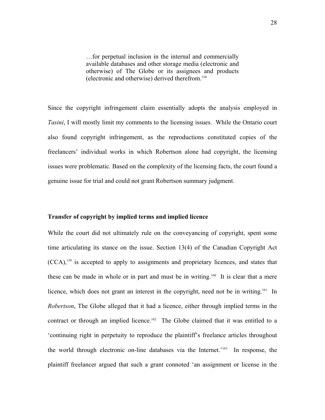…for perpetual inclusion in the internal and commercially available databases and other storage media (electronic and otherwise) of The Globe or its assignees and products (electronic and otherwise) derived therefrom. [158](#page-71-12)

Since the copyright infringement claim essentially adopts the analysis employed in *Tasini*, I will mostly limit my comments to the licensing issues. While the Ontario court also found copyright infringement, as the reproductions constituted copies of the freelancers' individual works in which Robertson alone had copyright, the licensing issues were problematic. Based on the complexity of the licensing facts, the court found a genuine issue for trial and could not grant Robertson summary judgment.

#### **Transfer of copyright by implied terms and implied licence**

While the court did not ultimately rule on the conveyancing of copyright, spent some time articulating its stance on the issue. Section 13(4) of the Canadian Copyright Act (CCA),[159](#page-71-49) is accepted to apply to assignments and proprietary licences, and states that these can be made in whole or in part and must be in writing.<sup>160</sup> It is clear that a mere licence, which does not grant an interest in the copyright, need not be in writing.<sup>161</sup> In *Robertson*, The Globe alleged that it had a licence, either through implied terms in the contract or through an implied licence.<sup>162</sup> The Globe claimed that it was entitled to a 'continuing right in perpetuity to reproduce the plaintiff's freelance articles throughout the world through electronic on-line databases via the Internet.'[163](#page-71-52) In response, the plaintiff freelancer argued that such a grant connoted 'an assignment or license in the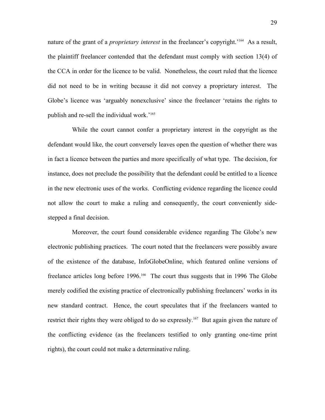nature of the grant of a *proprietary interest* in the freelancer's copyright.['164](#page-71-7) As a result, the plaintiff freelancer contended that the defendant must comply with section 13(4) of the CCA in order for the licence to be valid. Nonetheless, the court ruled that the licence did not need to be in writing because it did not convey a proprietary interest. The Globe's licence was 'arguably nonexclusive' since the freelancer 'retains the rights to publish and re-sell the individual work.['165](#page-71-5)

While the court cannot confer a proprietary interest in the copyright as the defendant would like, the court conversely leaves open the question of whether there was in fact a licence between the parties and more specifically of what type. The decision, for instance, does not preclude the possibility that the defendant could be entitled to a licence in the new electronic uses of the works. Conflicting evidence regarding the licence could not allow the court to make a ruling and consequently, the court conveniently sidestepped a final decision.

Moreover, the court found considerable evidence regarding The Globe's new electronic publishing practices. The court noted that the freelancers were possibly aware of the existence of the database, InfoGlobeOnline, which featured online versions of freelance articles long before 1996.<sup>166</sup> The court thus suggests that in 1996 The Globe merely codified the existing practice of electronically publishing freelancers' works in its new standard contract. Hence, the court speculates that if the freelancers wanted to restrict their rights they were obliged to do so expressly.<sup>167</sup> But again given the nature of the conflicting evidence (as the freelancers testified to only granting one-time print rights), the court could not make a determinative ruling.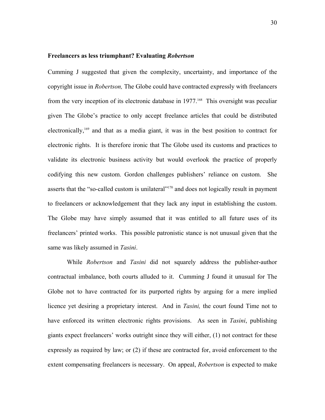#### **Freelancers as less triumphant? Evaluating** *Robertson*

Cumming J suggested that given the complexity, uncertainty, and importance of the copyright issue in *Robertson,* The Globe could have contracted expressly with freelancers from the very inception of its electronic database in 1977.<sup>168</sup> This oversight was peculiar given The Globe's practice to only accept freelance articles that could be distributed electronically,<sup>169</sup> and that as a media giant, it was in the best position to contract for electronic rights. It is therefore ironic that The Globe used its customs and practices to validate its electronic business activity but would overlook the practice of properly codifying this new custom. Gordon challenges publishers' reliance on custom. She asserts that the "so-called custom is unilateral"<sup>170</sup> and does not logically result in payment to freelancers or acknowledgement that they lack any input in establishing the custom. The Globe may have simply assumed that it was entitled to all future uses of its freelancers' printed works. This possible patronistic stance is not unusual given that the same was likely assumed in *Tasini*.

 While *Robertson* and *Tasini* did not squarely address the publisher-author contractual imbalance, both courts alluded to it. Cumming J found it unusual for The Globe not to have contracted for its purported rights by arguing for a mere implied licence yet desiring a proprietary interest. And in *Tasini,* the court found Time not to have enforced its written electronic rights provisions. As seen in *Tasini*, publishing giants expect freelancers' works outright since they will either, (1) not contract for these expressly as required by law; or (2) if these are contracted for, avoid enforcement to the extent compensating freelancers is necessary. On appeal, *Robertson* is expected to make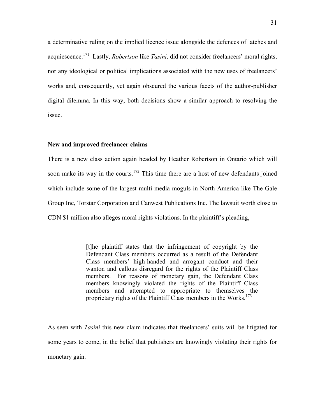a determinative ruling on the implied licence issue alongside the defences of latches and acquiescence[.171](#page-71-4) Lastly, *Robertson* like *Tasini,* did not consider freelancers' moral rights, nor any ideological or political implications associated with the new uses of freelancers' works and, consequently, yet again obscured the various facets of the author-publisher digital dilemma. In this way, both decisions show a similar approach to resolving the issue.

# **New and improved freelancer claims**

There is a new class action again headed by Heather Robertson in Ontario which will soon make its way in the courts.<sup>172</sup> This time there are a host of new defendants joined which include some of the largest multi-media moguls in North America like The Gale Group Inc, Torstar Corporation and Canwest Publications Inc. The lawsuit worth close to CDN \$1 million also alleges moral rights violations. In the plaintiff's pleading,

> [t]he plaintiff states that the infringement of copyright by the Defendant Class members occurred as a result of the Defendant Class members' high-handed and arrogant conduct and their wanton and callous disregard for the rights of the Plaintiff Class members. For reasons of monetary gain, the Defendant Class members knowingly violated the rights of the Plaintiff Class members and attempted to appropriate to themselves the proprietary rights of the Plaintiff Class members in the Works.<sup>[173](#page-71-16)</sup>

As seen with *Tasini* this new claim indicates that freelancers' suits will be litigated for some years to come, in the belief that publishers are knowingly violating their rights for monetary gain.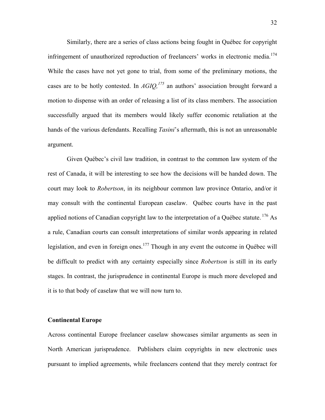Similarly, there are a series of class actions being fought in Québec for copyright infringement of unauthorized reproduction of freelancers' works in electronic media.<sup>174</sup> While the cases have not yet gone to trial, from some of the preliminary motions, the cases are to be hotly contested. In *AGIQ,[175](#page-71-12)* an authors' association brought forward a motion to dispense with an order of releasing a list of its class members. The association successfully argued that its members would likely suffer economic retaliation at the hands of the various defendants. Recalling *Tasini*'s aftermath, this is not an unreasonable argument.

Given Québec's civil law tradition, in contrast to the common law system of the rest of Canada, it will be interesting to see how the decisions will be handed down. The court may look to *Robertson*, in its neighbour common law province Ontario, and/or it may consult with the continental European caselaw. Québec courts have in the past applied notions of Canadian copyright law to the interpretation of a Québec statute.  $176$  As a rule, Canadian courts can consult interpretations of similar words appearing in related legislation, and even in foreign ones.<sup>177</sup> Though in any event the outcome in Québec will be difficult to predict with any certainty especially since *Robertson* is still in its early stages. In contrast, the jurisprudence in continental Europe is much more developed and it is to that body of caselaw that we will now turn to.

#### **Continental Europe**

Across continental Europe freelancer caselaw showcases similar arguments as seen in North American jurisprudence. Publishers claim copyrights in new electronic uses pursuant to implied agreements, while freelancers contend that they merely contract for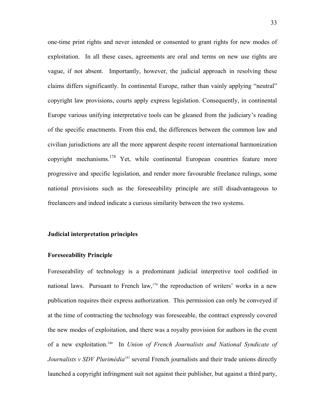one-time print rights and never intended or consented to grant rights for new modes of exploitation. In all these cases, agreements are oral and terms on new use rights are vague, if not absent. Importantly, however, the judicial approach in resolving these claims differs significantly. In continental Europe, rather than vainly applying "neutral" copyright law provisions, courts apply express legislation. Consequently, in continental Europe various unifying interpretative tools can be gleaned from the judiciary's reading of the specific enactments. From this end, the differences between the common law and civilian jurisdictions are all the more apparent despite recent international harmonization copyright mechanisms.<sup>178</sup> Yet, while continental European countries feature more progressive and specific legislation, and render more favourable freelance rulings, some national provisions such as the foreseeability principle are still disadvantageous to freelancers and indeed indicate a curious similarity between the two systems.

#### **Judicial interpretation principles**

#### **Foreseeability Principle**

Foreseeability of technology is a predominant judicial interpretive tool codified in national laws. Pursuant to French law,  $179$  the reproduction of writers' works in a new publication requires their express authorization. This permission can only be conveyed if at the time of contracting the technology was foreseeable, the contract expressly covered the new modes of exploitation, and there was a royalty provision for authors in the event of a new exploitation.[180](#page-71-57) In *Union of French Journalists and National Syndicate of Journalists v SDV Plurimédia[181](#page-71-58)* several French journalists and their trade unions directly launched a copyright infringment suit not against their publisher, but against a third party,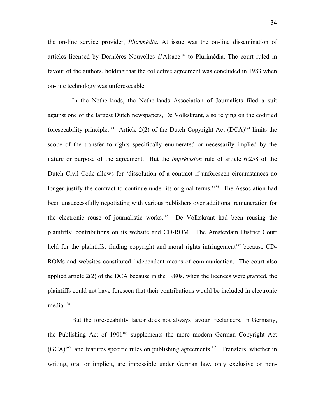the on-line service provider, *Plurimédia*. At issue was the on-line dissemination of articles licensed by Dernières Nouvelles d'Alsace<sup>182</sup> to Plurimédia. The court ruled in favour of the authors, holding that the collective agreement was concluded in 1983 when on-line technology was unforeseeable.

In the Netherlands, the Netherlands Association of Journalists filed a suit against one of the largest Dutch newspapers, De Volkskrant, also relying on the codified foreseeability principle.<sup>183</sup> Article 2(2) of the Dutch Copyright Act  $(DCA)^{184}$  limits the scope of the transfer to rights specifically enumerated or necessarily implied by the nature or purpose of the agreement. But the *imprévision* rule of article 6:258 of the Dutch Civil Code allows for 'dissolution of a contract if unforeseen circumstances no longer justify the contract to continue under its original terms.<sup>'185</sup> The Association had been unsuccessfully negotiating with various publishers over additional remuneration for the electronic reuse of journalistic works.[186](#page-71-31) De Volkskrant had been reusing the plaintiffs' contributions on its website and CD-ROM. The Amsterdam District Court held for the plaintiffs, finding copyright and moral rights infringement<sup>187</sup> because CD-ROMs and websites constituted independent means of communication. The court also applied article 2(2) of the DCA because in the 1980s, when the licences were granted, the plaintiffs could not have foreseen that their contributions would be included in electronic media. [188](#page-71-16) 

But the foreseeability factor does not always favour freelancers. In Germany, the Publishing Act of 1901<sup>189</sup> supplements the more modern German Copyright Act  $(GCA)^{190}$  and features specific rules on publishing agreements.<sup>191</sup> Transfers, whether in writing, oral or implicit, are impossible under German law, only exclusive or non-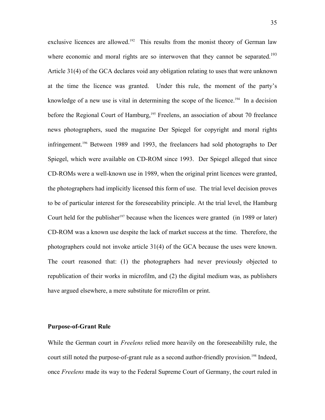exclusive licences are allowed.<sup>192</sup> This results from the monist theory of German law where economic and moral rights are so interwoven that they cannot be separated.<sup>193</sup> Article 31(4) of the GCA declares void any obligation relating to uses that were unknown at the time the licence was granted. Under this rule, the moment of the party's knowledge of a new use is vital in determining the scope of the licence.<sup>194</sup> In a decision before the Regional Court of Hamburg,<sup>195</sup> Freelens, an association of about 70 freelance news photographers, sued the magazine Der Spiegel for copyright and moral rights infringement.[196](#page-71-29) Between 1989 and 1993, the freelancers had sold photographs to Der Spiegel, which were available on CD-ROM since 1993. Der Spiegel alleged that since CD-ROMs were a well-known use in 1989, when the original print licences were granted, the photographers had implicitly licensed this form of use. The trial level decision proves to be of particular interest for the foreseeability principle. At the trial level, the Hamburg Court held for the publisher<sup>197</sup> because when the licences were granted (in 1989 or later) CD-ROM was a known use despite the lack of market success at the time. Therefore, the photographers could not invoke article 31(4) of the GCA because the uses were known. The court reasoned that: (1) the photographers had never previously objected to republication of their works in microfilm, and (2) the digital medium was, as publishers have argued elsewhere, a mere substitute for microfilm or print.

#### **Purpose-of-Grant Rule**

While the German court in *Freelens* relied more heavily on the foreseeabililty rule, the court still noted the purpose-of-grant rule as a second author-friendly provision.<sup>198</sup> Indeed, once *Freelens* made its way to the Federal Supreme Court of Germany, the court ruled in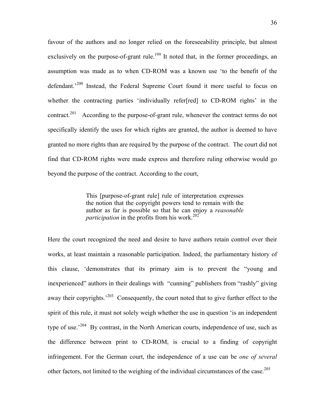favour of the authors and no longer relied on the foreseeability principle, but almost exclusively on the purpose-of-grant rule.<sup>199</sup> It noted that, in the former proceedings, an assumption was made as to when CD-ROM was a known use 'to the benefit of the defendant.<sup>200</sup> Instead, the Federal Supreme Court found it more useful to focus on whether the contracting parties 'individually refer[red] to CD-ROM rights' in the contract.<sup>201</sup> According to the purpose-of-grant rule, whenever the contract terms do not specifically identify the uses for which rights are granted, the author is deemed to have granted no more rights than are required by the purpose of the contract. The court did not find that CD-ROM rights were made express and therefore ruling otherwise would go beyond the purpose of the contract. According to the court,

> This [purpose-of-grant rule] rule of interpretation expresses the notion that the copyright powers tend to remain with the author as far is possible so that he can enjoy a *reasonable participation* in the profits from his work.<sup>202</sup>

Here the court recognized the need and desire to have authors retain control over their works, at least maintain a reasonable participation. Indeed, the parliamentary history of this clause, 'demonstrates that its primary aim is to prevent the "young and inexperienced" authors in their dealings with "cunning" publishers from "rashly" giving away their copyrights.<sup> $203$ </sup> Consequently, the court noted that to give further effect to the spirit of this rule, it must not solely weigh whether the use in question 'is an independent type of use.<sup>204</sup> By contrast, in the North American courts, independence of use, such as the difference between print to CD-ROM, is crucial to a finding of copyright infringement. For the German court, the independence of a use can be *one of several* other factors, not limited to the weighing of the individual circumstances of the case.<sup>205</sup>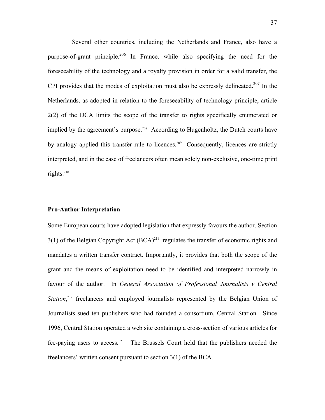Several other countries, including the Netherlands and France, also have a purpose-of-grant principle.<sup>206</sup> In France, while also specifying the need for the foreseeability of the technology and a royalty provision in order for a valid transfer, the CPI provides that the modes of exploitation must also be expressly delineated.<sup>207</sup> In the Netherlands, as adopted in relation to the foreseeability of technology principle, article 2(2) of the DCA limits the scope of the transfer to rights specifically enumerated or implied by the agreement's purpose.<sup>208</sup> According to Hugenholtz, the Dutch courts have by analogy applied this transfer rule to licences.<sup>209</sup> Consequently, licences are strictly interpreted, and in the case of freelancers often mean solely non-exclusive, one-time print rights. $210$ 

## **Pro-Author Interpretation**

Some European courts have adopted legislation that expressly favours the author. Section  $3(1)$  of the Belgian Copyright Act  $(BCA)^{211}$  regulates the transfer of economic rights and mandates a written transfer contract. Importantly, it provides that both the scope of the grant and the means of exploitation need to be identified and interpreted narrowly in favour of the author. In *General Association of Professional Journalists v Central Station*<sup>212</sup> freelancers and employed journalists represented by the Belgian Union of Journalists sued ten publishers who had founded a consortium, Central Station. Since 1996, Central Station operated a web site containing a cross-section of various articles for fee-paying users to access. [213](#page-71-7) The Brussels Court held that the publishers needed the freelancers' written consent pursuant to section 3(1) of the BCA.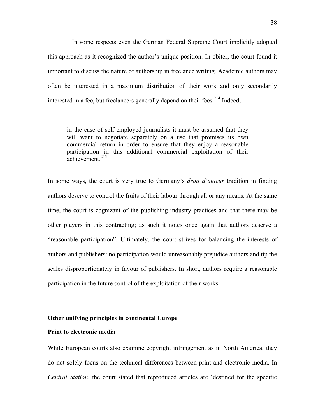In some respects even the German Federal Supreme Court implicitly adopted this approach as it recognized the author's unique position. In obiter, the court found it important to discuss the nature of authorship in freelance writing. Academic authors may often be interested in a maximum distribution of their work and only secondarily interested in a fee, but freelancers generally depend on their fees.<sup>214</sup> Indeed,

in the case of self-employed journalists it must be assumed that they will want to negotiate separately on a use that promises its own commercial return in order to ensure that they enjoy a reasonable participation in this additional commercial exploitation of their  $\frac{1}{2}$ achievement.<sup>[215](#page-71-9)</sup>

In some ways, the court is very true to Germany's *droit d'auteur* tradition in finding authors deserve to control the fruits of their labour through all or any means. At the same time, the court is cognizant of the publishing industry practices and that there may be other players in this contracting; as such it notes once again that authors deserve a "reasonable participation". Ultimately, the court strives for balancing the interests of authors and publishers: no participation would unreasonably prejudice authors and tip the scales disproportionately in favour of publishers. In short, authors require a reasonable participation in the future control of the exploitation of their works.

#### **Other unifying principles in continental Europe**

## **Print to electronic media**

While European courts also examine copyright infringement as in North America, they do not solely focus on the technical differences between print and electronic media. In *Central Station*, the court stated that reproduced articles are 'destined for the specific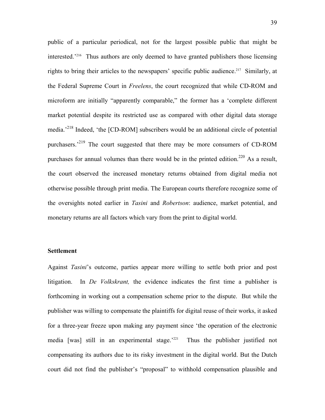public of a particular periodical, not for the largest possible public that might be interested.'[216](#page-71-0) Thus authors are only deemed to have granted publishers those licensing rights to bring their articles to the newspapers' specific public audience.<sup>217</sup> Similarly, at the Federal Supreme Court in *Freelens*, the court recognized that while CD-ROM and microform are initially "apparently comparable," the former has a 'complete different market potential despite its restricted use as compared with other digital data storage media.<sup>218</sup> Indeed, 'the [CD-ROM] subscribers would be an additional circle of potential purchasers.<sup>219</sup> The court suggested that there may be more consumers of CD-ROM purchases for annual volumes than there would be in the printed edition.<sup>220</sup> As a result, the court observed the increased monetary returns obtained from digital media not otherwise possible through print media. The European courts therefore recognize some of the oversights noted earlier in *Tasini* and *Robertson*: audience, market potential, and monetary returns are all factors which vary from the print to digital world.

#### **Settlement**

Against *Tasini*'s outcome, parties appear more willing to settle both prior and post litigation. In *De Volkskrant,* the evidence indicates the first time a publisher is forthcoming in working out a compensation scheme prior to the dispute. But while the publisher was willing to compensate the plaintiffs for digital reuse of their works, it asked for a three-year freeze upon making any payment since 'the operation of the electronic media [was] still in an experimental stage.<sup>221</sup> Thus the publisher justified not compensating its authors due to its risky investment in the digital world. But the Dutch court did not find the publisher's "proposal" to withhold compensation plausible and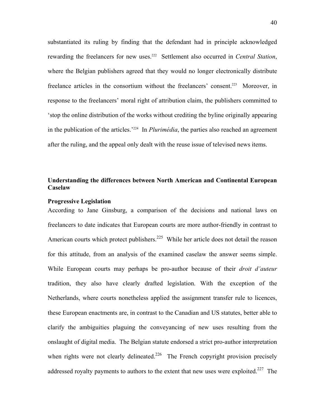substantiated its ruling by finding that the defendant had in principle acknowledged rewarding the freelancers for new uses.<sup>222</sup> Settlement also occurred in *Central Station*, where the Belgian publishers agreed that they would no longer electronically distribute freelance articles in the consortium without the freelancers' consent.<sup>223</sup> Moreover, in response to the freelancers' moral right of attribution claim, the publishers committed to 'stop the online distribution of the works without crediting the byline originally appearing in the publication of the articles.['224](#page-71-2) In *Plurimédia*, the parties also reached an agreement after the ruling, and the appeal only dealt with the reuse issue of televised news items.

# **Understanding the differences between North American and Continental European Caselaw**

#### **Progressive Legislation**

According to Jane Ginsburg, a comparison of the decisions and national laws on freelancers to date indicates that European courts are more author-friendly in contrast to American courts which protect publishers.<sup>225</sup> While her article does not detail the reason for this attitude, from an analysis of the examined caselaw the answer seems simple. While European courts may perhaps be pro-author because of their *droit d'auteur* tradition, they also have clearly drafted legislation. With the exception of the Netherlands, where courts nonetheless applied the assignment transfer rule to licences, these European enactments are, in contrast to the Canadian and US statutes, better able to clarify the ambiguities plaguing the conveyancing of new uses resulting from the onslaught of digital media. The Belgian statute endorsed a strict pro-author interpretation when rights were not clearly delineated.<sup>226</sup> The French copyright provision precisely addressed royalty payments to authors to the extent that new uses were exploited.<sup>227</sup> The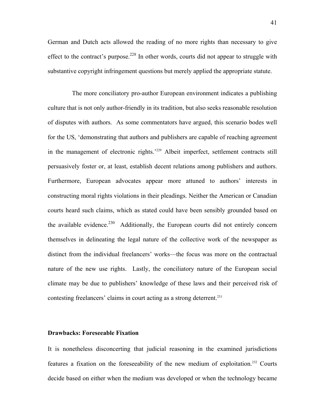German and Dutch acts allowed the reading of no more rights than necessary to give effect to the contract's purpose.<sup>228</sup> In other words, courts did not appear to struggle with substantive copyright infringement questions but merely applied the appropriate statute.

The more conciliatory pro-author European environment indicates a publishing culture that is not only author-friendly in its tradition, but also seeks reasonable resolution of disputes with authors. As some commentators have argued, this scenario bodes well for the US, 'demonstrating that authors and publishers are capable of reaching agreement in the management of electronic rights.'[229](#page-71-16) Albeit imperfect, settlement contracts still persuasively foster or, at least, establish decent relations among publishers and authors. Furthermore, European advocates appear more attuned to authors' interests in constructing moral rights violations in their pleadings. Neither the American or Canadian courts heard such claims, which as stated could have been sensibly grounded based on the available evidence.<sup>230</sup> Additionally, the European courts did not entirely concern themselves in delineating the legal nature of the collective work of the newspaper as distinct from the individual freelancers' works—the focus was more on the contractual nature of the new use rights. Lastly, the conciliatory nature of the European social climate may be due to publishers' knowledge of these laws and their perceived risk of contesting freelancers' claims in court acting as a strong deterrent.<sup>231</sup>

## **Drawbacks: Foreseeable Fixation**

It is nonetheless disconcerting that judicial reasoning in the examined jurisdictions features a fixation on the foreseeability of the new medium of exploitation.[232](#page-71-19) Courts decide based on either when the medium was developed or when the technology became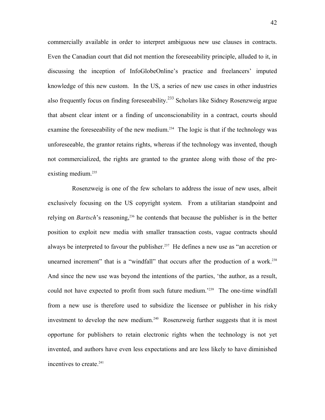commercially available in order to interpret ambiguous new use clauses in contracts. Even the Canadian court that did not mention the foreseeability principle, alluded to it, in discussing the inception of InfoGlobeOnline's practice and freelancers' imputed knowledge of this new custom. In the US, a series of new use cases in other industries also frequently focus on finding foreseeability.<sup>233</sup> Scholars like Sidney Rosenzweig argue that absent clear intent or a finding of unconscionability in a contract, courts should examine the foreseeability of the new medium.<sup>234</sup> The logic is that if the technology was unforeseeable, the grantor retains rights, whereas if the technology was invented, though not commercialized, the rights are granted to the grantee along with those of the preexisting medium. [235](#page-71-4) 

Rosenzweig is one of the few scholars to address the issue of new uses, albeit exclusively focusing on the US copyright system. From a utilitarian standpoint and relying on *Bartsch*'s reasoning,<sup>236</sup> he contends that because the publisher is in the better position to exploit new media with smaller transaction costs, vague contracts should always be interpreted to favour the publisher.<sup>237</sup> He defines a new use as "an accretion or unearned increment" that is a "windfall" that occurs after the production of a work.<sup>238</sup> And since the new use was beyond the intentions of the parties, 'the author, as a result, could not have expected to profit from such future medium.<sup>'239</sup> The one-time windfall from a new use is therefore used to subsidize the licensee or publisher in his risky investment to develop the new medium. [240](#page-71-24) Rosenzweig further suggests that it is most opportune for publishers to retain electronic rights when the technology is not yet invented, and authors have even less expectations and are less likely to have diminished incentives to create.<sup>[241](#page-71-25)</sup>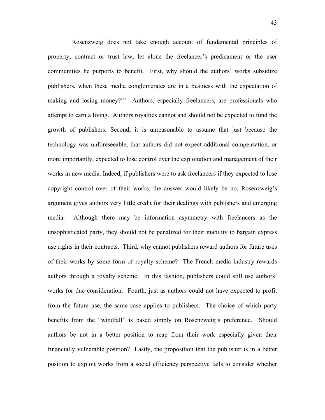Rosenzweig does not take enough account of fundamental principles of property, contract or trust law, let alone the freelancer's predicament or the user communities he purports to benefit. First, why should the authors' works subsidize publishers, when these media conglomerates are in a business with the expectation of making and losing money?<sup>242</sup> Authors, especially freelancers, are professionals who attempt to earn a living. Authors royalties cannot and should not be expected to fund the growth of publishers. Second, it is unreasonable to assume that just because the technology was unforeseeable, that authors did not expect additional compensation, or more importantly, expected to lose control over the exploitation and management of their works in new media. Indeed, if publishers were to ask freelancers if they expected to lose copyright control over of their works, the answer would likely be no. Rosenzweig's argument gives authors very little credit for their dealings with publishers and emerging media. Although there may be information asymmetry with freelancers as the unsophisticated party, they should not be penalized for their inability to bargain express use rights in their contracts. Third, why cannot publishers reward authors for future uses of their works by some form of royalty scheme? The French media industry rewards authors through a royalty scheme. In this fashion, publishers could still use authors' works for due consideration. Fourth, just as authors could not have expected to profit from the future use, the same case applies to publishers. The choice of which party benefits from the "windfall" is based simply on Rosenzweig's preference. Should authors be not in a better position to reap from their work especially given their financially vulnerable position? Lastly, the proposition that the publisher is in a better position to exploit works from a social efficiency perspective fails to consider whether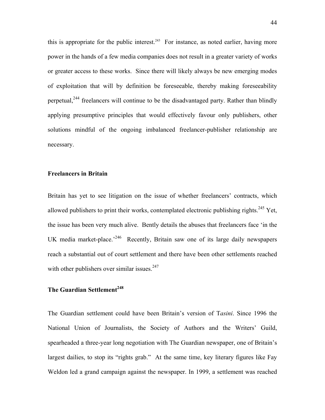this is appropriate for the public interest.<sup>243</sup> For instance, as noted earlier, having more power in the hands of a few media companies does not result in a greater variety of works or greater access to these works. Since there will likely always be new emerging modes of exploitation that will by definition be foreseeable, thereby making foreseeability perpetual,  $244$  freelancers will continue to be the disadvantaged party. Rather than blindly applying presumptive principles that would effectively favour only publishers, other solutions mindful of the ongoing imbalanced freelancer-publisher relationship are necessary.

### **Freelancers in Britain**

Britain has yet to see litigation on the issue of whether freelancers' contracts, which allowed publishers to print their works, contemplated electronic publishing rights.<sup>245</sup> Yet, the issue has been very much alive. Bently details the abuses that freelancers face 'in the UK media market-place.<sup> $246$ </sup> Recently, Britain saw one of its large daily newspapers reach a substantial out of court settlement and there have been other settlements reached with other publishers over similar issues. $247$ 

## **The Guardian Settlement[248](#page-71-6)**

The Guardian settlement could have been Britain's version of T*asini*. Since 1996 the National Union of Journalists, the Society of Authors and the Writers' Guild, spearheaded a three-year long negotiation with The Guardian newspaper, one of Britain's largest dailies, to stop its "rights grab." At the same time, key literary figures like Fay Weldon led a grand campaign against the newspaper. In 1999, a settlement was reached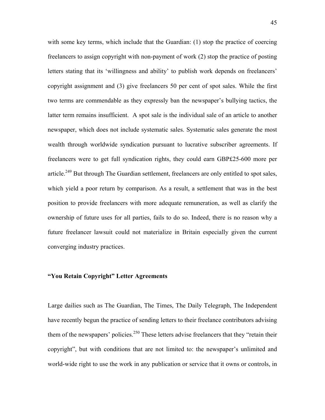with some key terms, which include that the Guardian: (1) stop the practice of coercing freelancers to assign copyright with non-payment of work (2) stop the practice of posting letters stating that its 'willingness and ability' to publish work depends on freelancers' copyright assignment and (3) give freelancers 50 per cent of spot sales. While the first two terms are commendable as they expressly ban the newspaper's bullying tactics, the latter term remains insufficient. A spot sale is the individual sale of an article to another newspaper, which does not include systematic sales. Systematic sales generate the most wealth through worldwide syndication pursuant to lucrative subscriber agreements. If freelancers were to get full syndication rights, they could earn GBP£25-600 more per article.<sup>249</sup> But through The Guardian settlement, freelancers are only entitled to spot sales, which yield a poor return by comparison. As a result, a settlement that was in the best position to provide freelancers with more adequate remuneration, as well as clarify the ownership of future uses for all parties, fails to do so. Indeed, there is no reason why a future freelancer lawsuit could not materialize in Britain especially given the current converging industry practices.

## **"You Retain Copyright" Letter Agreements**

Large dailies such as The Guardian, The Times, The Daily Telegraph, The Independent have recently begun the practice of sending letters to their freelance contributors advising them of the newspapers' policies.<sup>250</sup> These letters advise freelancers that they "retain their copyright", but with conditions that are not limited to: the newspaper's unlimited and world-wide right to use the work in any publication or service that it owns or controls, in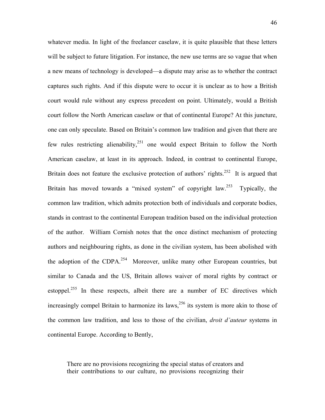whatever media. In light of the freelancer caselaw, it is quite plausible that these letters will be subject to future litigation. For instance, the new use terms are so vague that when a new means of technology is developed—a dispute may arise as to whether the contract captures such rights. And if this dispute were to occur it is unclear as to how a British court would rule without any express precedent on point. Ultimately, would a British court follow the North American caselaw or that of continental Europe? At this juncture, one can only speculate. Based on Britain's common law tradition and given that there are few rules restricting alienability,<sup>251</sup> one would expect Britain to follow the North American caselaw, at least in its approach. Indeed, in contrast to continental Europe, Britain does not feature the exclusive protection of authors' rights.<sup>252</sup> It is argued that Britain has moved towards a "mixed system" of copyright law.<sup>253</sup> Typically, the common law tradition, which admits protection both of individuals and corporate bodies, stands in contrast to the continental European tradition based on the individual protection of the author. William Cornish notes that the once distinct mechanism of protecting authors and neighbouring rights, as done in the civilian system, has been abolished with the adoption of the CDPA.<sup>254</sup> Moreover, unlike many other European countries, but similar to Canada and the US, Britain allows waiver of moral rights by contract or estoppel.<sup>255</sup> In these respects, albeit there are a number of EC directives which increasingly compel Britain to harmonize its laws,  $256$  its system is more akin to those of the common law tradition, and less to those of the civilian, *droit d'auteur* systems in continental Europe. According to Bently,

There are no provisions recognizing the special status of creators and their contributions to our culture, no provisions recognizing their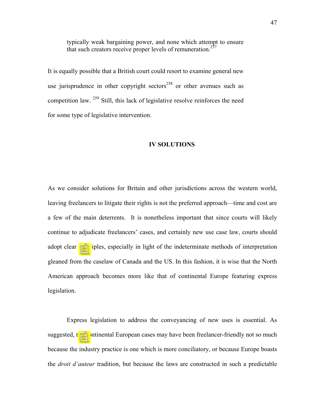typically weak bargaining power, and none which attempt to ensure that such creators receive proper levels of remuneration.<sup>[257](#page-71-0)</sup>

It is equally possible that a British court could resort to examine general new use jurisprudence in other copyright sectors<sup>258</sup> or other avenues such as competition law. <sup>259</sup> Still, this lack of legislative resolve reinforces the need for some type of legislative intervention.

#### **IV SOLUTIONS**

As we consider solutions for Britain and other jurisdictions across the western world, leaving freelancers to litigate their rights is not the preferred approach—time and cost are a few of the main deterrents. It is nonetheless important that since courts will likely continue to adjudicate freelancers' cases, and certainly new use case law, courts should adopt clear principles, especially in light of the indeterminate methods of interpretation gleaned from the caselaw of Canada and the US. In this fashion, it is wise that the North American approach becomes more like that of continental Europe featuring express legislation.

Express legislation to address the conveyancing of new uses is essential. As suggested, the continental European cases may have been freelancer-friendly not so much because the industry practice is one which is more conciliatory, or because Europe boasts the *droit d'auteur* tradition, but because the laws are constructed in such a predictable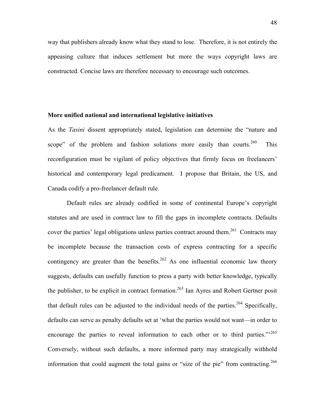way that publishers already know what they stand to lose. Therefore, it is not entirely the appeasing culture that induces settlement but more the ways copyright laws are constructed. Concise laws are therefore necessary to encourage such outcomes.

#### **More unified national and international legislative initiatives**

As the *Tasini* dissent appropriately stated, legislation can determine the "nature and scope" of the problem and fashion solutions more easily than courts. <sup>260</sup> This reconfiguration must be vigilant of policy objectives that firmly focus on freelancers' historical and contemporary legal predicament. I propose that Britain, the US, and Canada codify a pro-freelancer default rule.

Default rules are already codified in some of continental Europe's copyright statutes and are used in contract law to fill the gaps in incomplete contracts. Defaults cover the parties' legal obligations unless parties contract around them.<sup>261</sup> Contracts may be incomplete because the transaction costs of express contracting for a specific contingency are greater than the benefits.<sup>262</sup> As one influential economic law theory suggests, defaults can usefully function to press a party with better knowledge, typically the publisher, to be explicit in contract formation.<sup>263</sup> Ian Ayres and Robert Gertner posit that default rules can be adjusted to the individual needs of the parties.<sup>264</sup> Specifically, defaults can serve as penalty defaults set at 'what the parties would not want—in order to encourage the parties to reveal information to each other or to third parties."<sup>265</sup> Conversely, without such defaults, a more informed party may strategically withhold information that could augment the total gains or "size of the pie" from contracting.<sup>266</sup>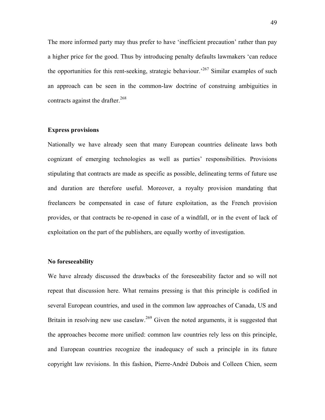The more informed party may thus prefer to have 'inefficient precaution' rather than pay a higher price for the good. Thus by introducing penalty defaults lawmakers 'can reduce the opportunities for this rent-seeking, strategic behaviour.<sup>267</sup> Similar examples of such an approach can be seen in the common-law doctrine of construing ambiguities in contracts against the drafter.  $268$ 

## **Express provisions**

Nationally we have already seen that many European countries delineate laws both cognizant of emerging technologies as well as parties' responsibilities. Provisions stipulating that contracts are made as specific as possible, delineating terms of future use and duration are therefore useful. Moreover, a royalty provision mandating that freelancers be compensated in case of future exploitation, as the French provision provides, or that contracts be re-opened in case of a windfall, or in the event of lack of exploitation on the part of the publishers, are equally worthy of investigation.

#### **No foreseeability**

We have already discussed the drawbacks of the foreseeability factor and so will not repeat that discussion here. What remains pressing is that this principle is codified in several European countries, and used in the common law approaches of Canada, US and Britain in resolving new use caselaw.<sup>269</sup> Given the noted arguments, it is suggested that the approaches become more unified: common law countries rely less on this principle, and European countries recognize the inadequacy of such a principle in its future copyright law revisions. In this fashion, Pierre-André Dubois and Colleen Chien, seem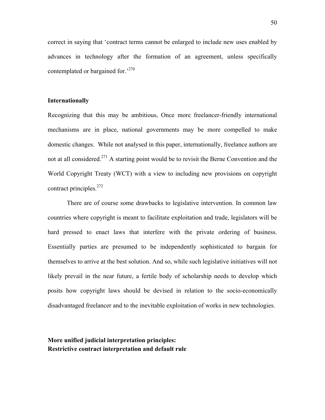correct in saying that 'contract terms cannot be enlarged to include new uses enabled by advances in technology after the formation of an agreement, unless specifically contemplated or bargained for.<sup>[270](#page-71-1)</sup>

## **Internationally**

Recognizing that this may be ambitious, Once more freelancer-friendly international mechanisms are in place, national governments may be more compelled to make domestic changes. While not analysed in this paper, internationally, freelance authors are not at all considered.<sup>271</sup> A starting point would be to revisit the Berne Convention and the World Copyright Treaty (WCT) with a view to including new provisions on copyright contract principles.<sup>[272](#page-71-33)</sup>

There are of course some drawbacks to legislative intervention. In common law countries where copyright is meant to facilitate exploitation and trade, legislators will be hard pressed to enact laws that interfere with the private ordering of business. Essentially parties are presumed to be independently sophisticated to bargain for themselves to arrive at the best solution. And so, while such legislative initiatives will not likely prevail in the near future, a fertile body of scholarship needs to develop which posits how copyright laws should be devised in relation to the socio-economically disadvantaged freelancer and to the inevitable exploitation of works in new technologies.

**More unified judicial interpretation principles: Restrictive contract interpretation and default rule**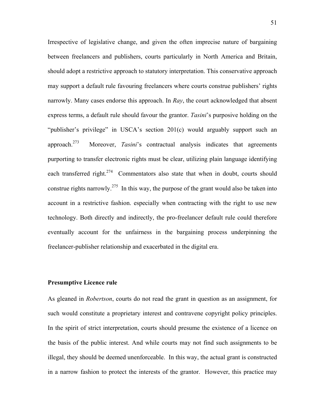Irrespective of legislative change, and given the often imprecise nature of bargaining between freelancers and publishers, courts particularly in North America and Britain, should adopt a restrictive approach to statutory interpretation. This conservative approach may support a default rule favouring freelancers where courts construe publishers' rights narrowly. Many cases endorse this approach. In *Ray*, the court acknowledged that absent express terms, a default rule should favour the grantor. *Tasini*'s purposive holding on the "publisher's privilege" in USCA's section 201(c) would arguably support such an approach.[273](#page-71-3) Moreover, *Tasini*'s contractual analysis indicates that agreements purporting to transfer electronic rights must be clear, utilizing plain language identifying each transferred right.<sup>274</sup> Commentators also state that when in doubt, courts should construe rights narrowly.<sup>275</sup> In this way, the purpose of the grant would also be taken into account in a restrictive fashion. especially when contracting with the right to use new technology. Both directly and indirectly, the pro-freelancer default rule could therefore eventually account for the unfairness in the bargaining process underpinning the freelancer-publisher relationship and exacerbated in the digital era.

## **Presumptive Licence rule**

As gleaned in *Robertson*, courts do not read the grant in question as an assignment, for such would constitute a proprietary interest and contravene copyright policy principles. In the spirit of strict interpretation, courts should presume the existence of a licence on the basis of the public interest. And while courts may not find such assignments to be illegal, they should be deemed unenforceable. In this way, the actual grant is constructed in a narrow fashion to protect the interests of the grantor. However, this practice may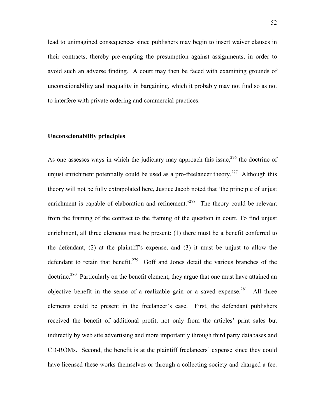lead to unimagined consequences since publishers may begin to insert waiver clauses in their contracts, thereby pre-empting the presumption against assignments, in order to avoid such an adverse finding. A court may then be faced with examining grounds of unconscionability and inequality in bargaining, which it probably may not find so as not to interfere with private ordering and commercial practices.

## **Unconscionability principles**

As one assesses ways in which the judiciary may approach this issue,  $276$  the doctrine of unjust enrichment potentially could be used as a pro-freelancer theory.<sup>277</sup> Although this theory will not be fully extrapolated here, Justice Jacob noted that 'the principle of unjust enrichment is capable of elaboration and refinement.<sup> $278$ </sup> The theory could be relevant from the framing of the contract to the framing of the question in court. To find unjust enrichment, all three elements must be present: (1) there must be a benefit conferred to the defendant, (2) at the plaintiff's expense, and (3) it must be unjust to allow the defendant to retain that benefit.<sup>279</sup> Goff and Jones detail the various branches of the doctrine.<sup>280</sup> Particularly on the benefit element, they argue that one must have attained an objective benefit in the sense of a realizable gain or a saved expense.<sup>281</sup> All three elements could be present in the freelancer's case. First, the defendant publishers received the benefit of additional profit, not only from the articles' print sales but indirectly by web site advertising and more importantly through third party databases and CD-ROMs. Second, the benefit is at the plaintiff freelancers' expense since they could have licensed these works themselves or through a collecting society and charged a fee.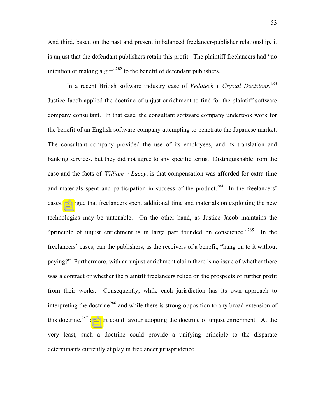And third, based on the past and present imbalanced freelancer-publisher relationship, it is unjust that the defendant publishers retain this profit. The plaintiff freelancers had "no intention of making a gift $^{282}$  to the benefit of defendant publishers.

In a recent British software industry case of *Vedatech v Crystal Decisions*, [283](#page-71-8) Justice Jacob applied the doctrine of unjust enrichment to find for the plaintiff software company consultant. In that case, the consultant software company undertook work for the benefit of an English software company attempting to penetrate the Japanese market. The consultant company provided the use of its employees, and its translation and banking services, but they did not agree to any specific terms. Distinguishable from the case and the facts of *William v Lacey*, is that compensation was afforded for extra time and materials spent and participation in success of the product.<sup>284</sup> In the freelancers' cases, to argue that freelancers spent additional time and materials on exploiting the new technologies may be untenable. On the other hand, as Justice Jacob maintains the "principle of unjust enrichment is in large part founded on conscience."<sup>285</sup> In the freelancers' cases, can the publishers, as the receivers of a benefit, "hang on to it without paying?" Furthermore, with an unjust enrichment claim there is no issue of whether there was a contract or whether the plaintiff freelancers relied on the prospects of further profit from their works. Consequently, while each jurisdiction has its own approach to interpreting the doctrine<sup>286</sup> and while there is strong opposition to any broad extension of this doctrine,<sup>287</sup> a court could favour adopting the doctrine of unjust enrichment. At the very least, such a doctrine could provide a unifying principle to the disparate determinants currently at play in freelancer jurisprudence.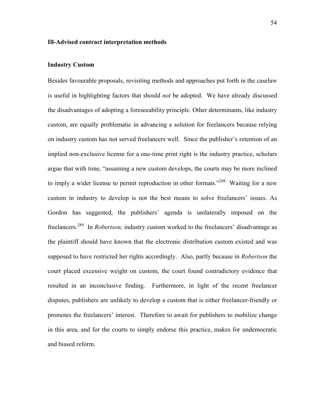## **Ill-Advised contract interpretation methods**

#### **Industry Custom**

Besides favourable proposals, revisiting methods and approaches put forth in the caselaw is useful in highlighting factors that should *not* be adopted. We have already discussed the disadvantages of adopting a foreseeability principle. Other determinants, like industry custom, are equally problematic in advancing a solution for freelancers because relying on industry custom has not served freelancers well. Since the publisher's retention of an implied non-exclusive license for a one-time print right is the industry practice, scholars argue that with time, "assuming a new custom develops, the courts may be more inclined to imply a wider license to permit reproduction in other formats."<sup>288</sup> Waiting for a new custom in industry to develop is not the best means to solve freelancers' issues. As Gordon has suggested, the publishers' agenda is unilaterally imposed on the freelancers.[289](#page-71-40) In *Robertson,* industry custom worked to the freelancers' disadvantage as the plaintiff should have known that the electronic distribution custom existed and was supposed to have restricted her rights accordingly. Also, partly because in *Robertson* the court placed excessive weight on custom, the court found contradictory evidence that resulted in an inconclusive finding. Furthermore, in light of the recent freelancer disputes, publishers are unlikely to develop a custom that is either freelancer-friendly or promotes the freelancers' interest. Therefore to await for publishers to mobilize change in this area, and for the courts to simply endorse this practice, makes for undemocratic and biased reform.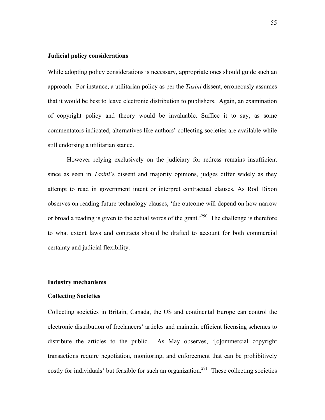#### **Judicial policy considerations**

While adopting policy considerations is necessary, appropriate ones should guide such an approach. For instance, a utilitarian policy as per the *Tasini* dissent, erroneously assumes that it would be best to leave electronic distribution to publishers. Again, an examination of copyright policy and theory would be invaluable. Suffice it to say, as some commentators indicated, alternatives like authors' collecting societies are available while still endorsing a utilitarian stance.

However relying exclusively on the judiciary for redress remains insufficient since as seen in *Tasini*'s dissent and majority opinions, judges differ widely as they attempt to read in government intent or interpret contractual clauses. As Rod Dixon observes on reading future technology clauses, 'the outcome will depend on how narrow or broad a reading is given to the actual words of the grant.<sup>290</sup> The challenge is therefore to what extent laws and contracts should be drafted to account for both commercial certainty and judicial flexibility.

## **Industry mechanisms**

## **Collecting Societies**

Collecting societies in Britain, Canada, the US and continental Europe can control the electronic distribution of freelancers' articles and maintain efficient licensing schemes to distribute the articles to the public. As May observes, '[c]ommercial copyright transactions require negotiation, monitoring, and enforcement that can be prohibitively costly for individuals' but feasible for such an organization.<sup>291</sup> These collecting societies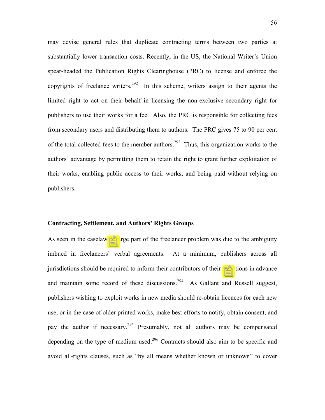may devise general rules that duplicate contracting terms between two parties at substantially lower transaction costs. Recently, in the US, the National Writer's Union spear-headed the Publication Rights Clearinghouse (PRC) to license and enforce the copyrights of freelance writers.<sup>292</sup> In this scheme, writers assign to their agents the limited right to act on their behalf in licensing the non-exclusive secondary right for publishers to use their works for a fee. Also, the PRC is responsible for collecting fees from secondary users and distributing them to authors. The PRC gives 75 to 90 per cent of the total collected fees to the member authors.<sup>293</sup> Thus, this organization works to the authors' advantage by permitting them to retain the right to grant further exploitation of their works, enabling public access to their works, and being paid without relying on publishers.

### **Contracting, Settlement, and Authors' Rights Groups**

As seen in the caselaw, a large part of the freelancer problem was due to the ambiguity imbued in freelancers' verbal agreements. At a minimum, publishers across all jurisdictions should be required to inform their contributors of their intentions in advance and maintain some record of these discussions.<sup>294</sup> As Gallant and Russell suggest, publishers wishing to exploit works in new media should re-obtain licences for each new use, or in the case of older printed works, make best efforts to notify, obtain consent, and pay the author if necessary.<sup>295</sup> Presumably, not all authors may be compensated depending on the type of medium used.<sup>296</sup> Contracts should also aim to be specific and avoid all-rights clauses, such as "by all means whether known or unknown" to cover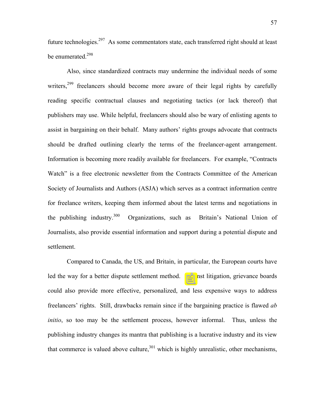future technologies[.297](#page-71-25) As some commentators state, each transferred right should at least be enumerated.<sup>[298](#page-71-10)</sup>

Also, since standardized contracts may undermine the individual needs of some writers,<sup>299</sup> freelancers should become more aware of their legal rights by carefully reading specific contractual clauses and negotiating tactics (or lack thereof) that publishers may use. While helpful, freelancers should also be wary of enlisting agents to assist in bargaining on their behalf. Many authors' rights groups advocate that contracts should be drafted outlining clearly the terms of the freelancer-agent arrangement. Information is becoming more readily available for freelancers. For example, "Contracts Watch" is a free electronic newsletter from the Contracts Committee of the American Society of Journalists and Authors (ASJA) which serves as a contract information centre for freelance writers, keeping them informed about the latest terms and negotiations in the publishing industry.<sup>300</sup> Organizations, such as Britain's National Union of Journalists, also provide essential information and support during a potential dispute and settlement.

Compared to Canada, the US, and Britain, in particular, the European courts have led the way for a better dispute settlement method. Against litigation, grievance boards could also provide more effective, personalized, and less expensive ways to address freelancers' rights. Still, drawbacks remain since if the bargaining practice is flawed *ab initio*, so too may be the settlement process, however informal. Thus, unless the publishing industry changes its mantra that publishing is a lucrative industry and its view that commerce is valued above culture,  $301$  which is highly unrealistic, other mechanisms,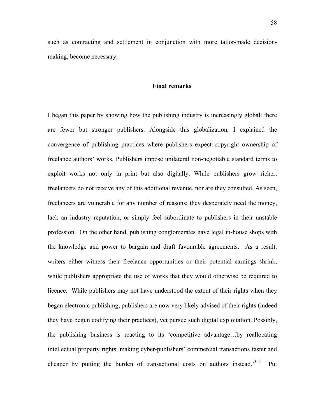such as contracting and settlement in conjunction with more tailor-made decisionmaking, become necessary.

## **Final remarks**

I began this paper by showing how the publishing industry is increasingly global: there are fewer but stronger publishers. Alongside this globalization, I explained the convergence of publishing practices where publishers expect copyright ownership of freelance authors' works. Publishers impose unilateral non-negotiable standard terms to exploit works not only in print but also digitally. While publishers grow richer, freelancers do not receive any of this additional revenue, nor are they consulted. As seen, freelancers are vulnerable for any number of reasons: they desperately need the money, lack an industry reputation, or simply feel subordinate to publishers in their unstable profession. On the other hand, publishing conglomerates have legal in-house shops with the knowledge and power to bargain and draft favourable agreements. As a result, writers either witness their freelance opportunities or their potential earnings shrink, while publishers appropriate the use of works that they would otherwise be required to licence. While publishers may not have understood the extent of their rights when they began electronic publishing, publishers are now very likely advised of their rights (indeed they have begun codifying their practices), yet pursue such digital exploitation. Possibly, the publishing business is reacting to its 'competitive advantage…by reallocating intellectual property rights, making cyber-publishers' commercial transactions faster and cheaper by putting the burden of transactional costs on authors instead.<sup>302</sup> Put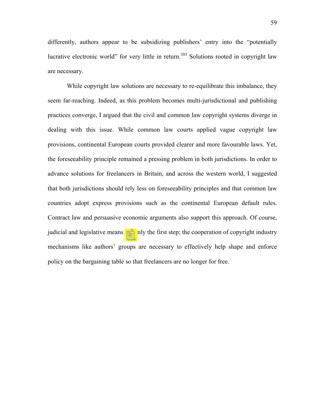differently, authors appear to be subsidizing publishers' entry into the "potentially lucrative electronic world" for very little in return.<sup>303</sup> Solutions rooted in copyright law are necessary.

While copyright law solutions are necessary to re-equilibrate this imbalance, they seem far-reaching. Indeed, as this problem becomes multi-jurisdictional and publishing practices converge, I argued that the civil and common law copyright systems diverge in dealing with this issue. While common law courts applied vague copyright law provisions, continental European courts provided clearer and more favourable laws. Yet, the foreseeability principle remained a pressing problem in both jurisdictions. In order to advance solutions for freelancers in Britain, and across the western world, I suggested that both jurisdictions should rely less on foreseeability principles and that common law countries adopt express provisions such as the continental European default rules. Contract law and persuasive economic arguments also support this approach. Of course, judicial and legislative means are only the first step; the cooperation of copyright industry mechanisms like authors' groups are necessary to effectively help shape and enforce policy on the bargaining table so that freelancers are no longer for free.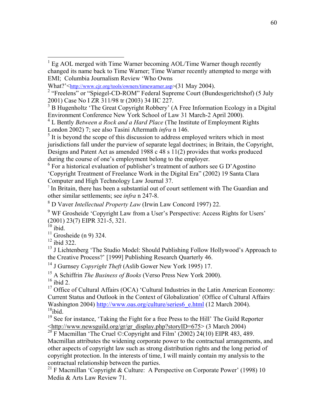<sup>3</sup> B Hugenholtz 'The Great Copyright Robbery' (A Free Information Ecology in a Digital Environment Conference New York School of Law 31 March-2 April 2000).

 $<sup>5</sup>$  It is beyond the scope of this discussion to address employed writers which in most</sup> jurisdictions fall under the purview of separate legal doctrines; in Britain, the Copyright, Designs and Patent Act as amended 1988 c 48 s 11(2) provides that works produced during the course of one's employment belong to the employer.

<sup>6</sup> For a historical evaluation of publisher's treatment of authors see G D'Agostino 'Copyright Treatment of Freelance Work in the Digital Era" (2002) 19 Santa Clara Computer and High Technology Law Journal 37.<br><sup>7</sup> In Britain, there has been a substantial out of court settlement with The Guardian and

other similar settlements; see *infra* n 247-8.

8 D Vaver *Intellectual Property Law* (Irwin Law Concord 1997) 22.

<sup>9</sup> WF Grosheide 'Copyright Law from a User's Perspective: Access Rights for Users' (2001) 23(7) EIPR 321-5, 321.

 $10$  ibid.

 $11$  Grosheide (n 9) 324.

 $12$  ibid 322.

<sup>13</sup> J Lichtenberg 'The Studio Model: Should Publishing Follow Hollywood's Approach to the Creative Process?' [1999] Publishing Research Quarterly 46.

<sup>14</sup> J Gurnsey *Copyright Theft* (Aslib Gower New York 1995) 17.

15 A Schiffrin *The Business of Books* (Verso Press New York 2000).

 $16$  ibid 2.

<sup>17</sup> Office of Cultural Affairs (OCA) 'Cultural Industries in the Latin American Economy: Current Status and Outlook in the Context of Globalization' (Office of Cultural Affairs Washington 2004) [http://www.oas.org/culture/series6\\_e.html](http://www.oas.org/culture/series6_e.html) (12 March 2004).  $18$ ibid.

<sup>19</sup> See for instance, 'Taking the Fight for a free Press to the Hill' The Guild Reporter <[http://www.newsguild.org/gr/gr\\_display.php?storyID=675](http://www.newsguild.org/gr/gr_display.php?storyID=675)> (3 March 2004)

<sup>20</sup> F Macmillan 'The Cruel ©:Copyright and Film' (2002) 24(10) EIPR 483, 489. Macmillan attributes the widening corporate power to the contractual arrangements, and other aspects of copyright law such as strong distribution rights and the long period of copyright protection. In the interests of time, I will mainly contain my analysis to the contractual relationship between the parties.

<sup>21</sup> F Macmillan 'Copyright & Culture: A Perspective on Corporate Power' (1998) 10 Media & Arts Law Review 71.

<sup>&</sup>lt;sup>1</sup> Eg AOL merged with Time Warner becoming AOL/Time Warner though recently changed its name back to Time Warner; Time Warner recently attempted to merge with EMI; Columbia Journalism Review 'Who Owns

What?'[<http://www.cjr.org/tools/owners/timewarner.asp](http://www.cjr.org/tools/owners/timewarner.asp)>(31 May 2004).

<sup>&</sup>lt;sup>2</sup> "Freelens" or "Spiegel-CD-ROM" Federal Supreme Court (Bundesgerichtshof) (5 July 2001) Case No I ZR 311/98 tr (2003) 34 IIC 227.

<sup>4</sup> L Bently *Between a Rock and a Hard Place* (The Institute of Employment Rights London 2002) 7; see also Tasini Aftermath *infra* n 146.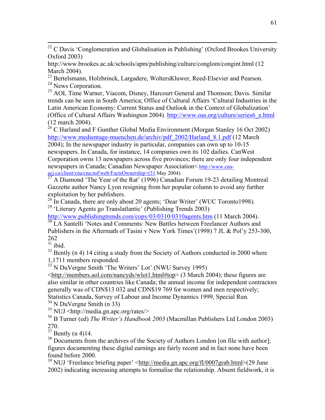$22$  C Davis 'Conglomeration and Globalisation in Publishing' (Oxford Brookes University Oxford 2003)

http://www.brookes.ac.uk/schools/apm/publishing/culture/conglom/congint.html (12 March 2004).

<sup>23</sup> Bertelsmann, Holzbrinck, Largadere, WoltersKluwer, Reed-Elsevier and Pearson. <sup>24</sup> News Corporation.

<sup>25</sup> AOL Time Warner, Viacom, Disney, Harcourt General and Thomson; Davis. Similar trends can be seen in South America; Office of Cultural Affairs 'Cultural Industries in the Latin American Economy: Current Status and Outlook in the Context of Globalization' (Office of Cultural Affairs Washington 2004). [http://www.oas.org/culture/series6\\_e.html](http://www.oas.org/culture/series6_e.html) (12 march 2004).

 $26$  C Harland and F Gunther Global Media Environment (Morgan Stanley 16 Oct 2002) [http://www.medientage-muenchen.de/archiv/pdf\\_2002/Harland\\_8.1.pdf](http://www.medientage-muenchen.de/archiv/pdf_2002/Harland_8.1.pdf) (12 March 2004); In the newspaper industry in particular, companies can own up to 10-15 newspapers. In Canada, for instance, 14 companies own its 102 dailies. CanWest Corporation owns 13 newspapers across five provinces; there are only four independent newspapers in Canada; Canadian Newspaper Association< [http://www.cna](http://www.cna-acj.ca/client/cna/cna.nsf/web/FactsOwnership>(31)[acj.ca/client/cna/cna.nsf/web/FactsOwnership>\(31](http://www.cna-acj.ca/client/cna/cna.nsf/web/FactsOwnership>(31) May 2004).

 $\frac{27}{27}$  A Diamond 'The Year of the Rat' (1996) Canadian Forum 19-23 detailing Montreal Gazzette author Nancy Lyon resigning from her popular column to avoid any further exploitation by her publishers.

<sup>28</sup> In Canada, there are only about 20 agents; 'Dear Writer' (WUC Toronto1998). <sup>29</sup> 'Literary Agents go Translatlantic' (Publishing Trends 2003)

<http://www.publishingtrends.com/copy/03/0310/0310agents.htm>(11 March 2004).

<sup>30</sup> LA Santelli 'Notes and Comments: New Battles between Freelancer Authors and Publishers in the Aftermath of Tasini v New York Times'(1998) 7 JL & Pol'y 253-300, 262

 $31$  ibid.

 $32$  Bently (n 4) 14 citing a study from the Society of Authors conducted in 2000 where 1,1711 members responded.

 $33$  N DuVergne Smith 'The Writers' Lot' (NWU Survey 1995)

<[http://members.aol.com/nancyds/wlot1.html#top>](http://members.aol.com/nancyds/wlot1.html) (3 March 2004); these figures are also similar in other countries like Canada; the annual income for independent contractors generally was of CDN\$13 032 and CDN\$19 769 for women and men respectively; Statistics Canada, Survey of Labour and Income Dynamics 1999, Special Run.

 $34$  N DuVergne Smith (n 33)

35 NUJ <http://media.gn.apc.org/rates/>

36 B Turner (ed) *The Writer's Handbook 2003* (Macmillan Publishers Ltd London 2003) 270.

 $37$  Bently (n 4)14.

<sup>38</sup> Documents from the archives of the Society of Authors London [on file with author]; figures documenting these digital earnings are fairly recent and in fact none have been found before 2000.

 $39$  NUJ 'Freelance briefing paper' [<http://media.gn.apc.org/fl/0007grab.html>](http://media.gn.apc.org/fl/0007grab.html)(29 June) 2002) indicating increasing attempts to formalise the relationship. Absent fieldwork, it is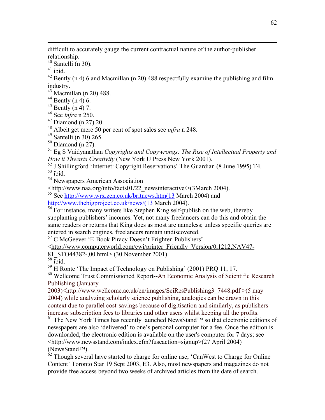difficult to accurately gauge the current contractual nature of the author-publisher relationship.

 $40$  Santelli (n 30).

 $41$  ibid.

 $\overline{a}$ 

 $42$  Bently (n 4) 6 and Macmillan (n 20) 488 respectfully examine the publishing and film industry.

43 Macmillan (n 20) 488.

 $44$  Bently (n 4) 6.

 $45$  Bently (n 4) 7.

46 See *infra* n 250.

 $47$  Diamond (n 27) 20.

48 Albeit get mere 50 per cent of spot sales see *infra* n 248.

 $49$  Santelli (n 30) 265.

 $50$  Diamond (n 27).

51 Eg S Vaidyanathan *Copyrights and Copywrongs: The Rise of Intellectual Property and How it Thwarts Creativity* (New York U Press New York 2001).

52 J Shillingford 'Internet: Copyright Reservations' The Guardian (8 June 1995) T4.  $53$  ibid.

54 Newspapers American Association

<http://www.naa.org/info/facts01/22\_newsinteractive/>(3March 2004).

<sup>55</sup> See [http://www.wrx.zen.co.uk/britnews.htm\(13](http://www.wrx.zen.co.uk/britnews.htm(13) March 2004) and

[http://www.thebigproject.co.uk/news/\(13](http://www.thebigproject.co.uk/news/(13) March 2004).

<sup>56</sup> For instance, many writers like Stephen King self-publish on the web, thereby supplanting publishers' incomes. Yet, not many freelancers can do this and obtain the same readers or returns that King does as most are nameless; unless specific queries are entered in search engines, freelancers remain undiscovered.

57 C McGeever 'E-Book Piracy Doesn't Frighten Publishers'

<[http://www.computerworld.com/cwi/printer\\_Friendly\\_Version/0,1212,NAV47-](http://www.computerworld.com/cwi/printer_Friendly_Version/0,1212,NAV47-81_STO44382-,00.html)

81 STO44382-,00.html> (30 November 2001)

 $\overline{58}$  ibid.

59 H Ronte 'The Impact of Technology on Publishing' (2001) PRQ 11, 17.

60 Wellcome Trust Commissioned Report--An Economic Analysis of Scientific Research Publishing (January

2003)<http://www.wellcome.ac.uk/en/images/SciResPublishing3\_7448.pdf >(5 may 2004) while analyzing scholarly science publishing, analogies can be drawn in this context due to parallel cost-savings because of digitisation and similarly, as publishers increase subscription fees to libraries and other users whilst keeping all the profits.

61 The New York Times has recently launched NewsStand™ so that electronic editions of newspapers are also 'delivered' to one's personal computer for a fee. Once the edition is downloaded, the electronic edition is available on the user's computer for 7 days; see <http://www.newsstand.com/index.cfm?fuseaction=signup>(27 April 2004) (NewsStand™).

 $62$  Though several have started to charge for online use; 'CanWest to Charge for Online Content' Toronto Star 19 Sept 2003, E3. Also, most newspapers and magazines do not provide free access beyond two weeks of archived articles from the date of search.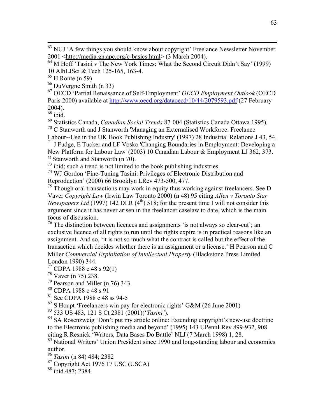<sup>63</sup> NUJ 'A few things you should know about copyright' Freelance Newsletter November 2001 <[http://media.gn.apc.org/c-basics.html>](http://media.gn.apc.org/c-basics.html) (3 March 2004).

66 DuVergne Smith (n 33)

67 OECD 'Partial Renaissance of Self-Employment' *OECD Employment Outlook* (OECD Paris 2000) available at<http://www.oecd.org/dataoecd/10/44/2079593.pdf>(27 February 2004).

 $68$  ibid.

69 Statistics Canada, *Canadian Social Trends* 87-004 (Statistics Canada Ottawa 1995). 70 C Stanworth and J Stanworth 'Managing an Externalised Workforce: Freelance

Labour--Use in the UK Book Publishing Industry' (1997) 28 Industrial Relations J 43, 54. 71 J Fudge, E Tucker and LF Vosko 'Changing Boundaries in Employment: Developing a

New Platform for Labour Law' (2003) 10 Canadian Labour & Employment LJ 362, 373. <sup>72</sup> Stanworth and Stanworth (n 70).

 $73$  ibid; such a trend is not limited to the book publishing industries.

74 WJ Gordon 'Fine-Tuning Tasini: Privileges of Electronic Distribution and Reproduction' (2000) 66 Brooklyn LRev 473-500, 477.

 $^{75}$  Though oral transactions may work in equity thus working against freelancers. See D Vaver *Copyright Law* (Irwin Law Toronto 2000) (n 48) 95 citing *Allen v Toronto Star Newspapers Ltd* (1997) 142 DLR  $(4<sup>th</sup>)$  518; for the present time I will not consider this argument since it has never arisen in the freelancer caselaw to date, which is the main focus of discussion.

76 The distinction between licences and assignments 'is not always so clear-cut'; an exclusive licence of all rights to run until the rights expire is in practical reasons like an assignment. And so, 'it is not so much what the contract is called but the effect of the transaction which decides whether there is an assignment or a license.' H Pearson and C Miller *Commercial Exploitation of Intellectual Property* (Blackstone Press Limited London 1990) 344.

 $77$  CDPA 1988 c 48 s 92(1)

78 Vaver (n 75) 238.

79 Pearson and Miller (n 76) 343.

80 CDPA 1988 c 48 s 91

81 See CDPA 1988 c 48 ss 94-5

 $82$  S Houpt 'Freelancers win pay for electronic rights' G&M (26 June 2001)

83 533 US 483, 121 S Ct 2381 (2001)('*Tasini'*).

<sup>84</sup> SA Rosenzweig 'Don't put my article online: Extending copyright's new-use doctrine to the Electronic publishing media and beyond' (1995) 143 UPennLRev 899-932, 908 citing R Resnick 'Writers, Data Bases Do Battle' NLJ (7 March 1998) 1, 28.

<sup>85</sup> National Writers' Union President since 1990 and long-standing labour and economics author.

<sup>86</sup> *Tasini* (n 84) 484; 2382

 $87$  Copyright Act 1976 17 USC (USCA)

88 ibid.487; 2384

<sup>64</sup> M Hoff 'Tasini v The New York Times: What the Second Circuit Didn't Say' (1999) 10 AlbLJSci & Tech 125-165, 163-4.

 $65$  H Ronte (n 59)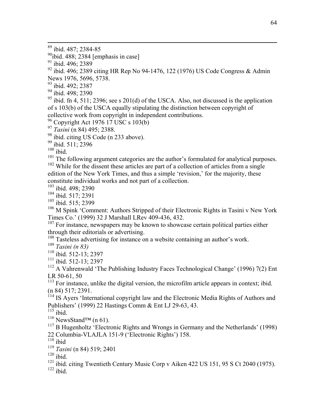$^{90}$ ibid. 488; 2384 [emphasis in case]

<sup>91</sup> ibid. 496; 2389

<sup>92</sup> ibid. 496; 2389 citing HR Rep No 94-1476, 122 (1976) US Code Congress & Admin

News 1976, 5696, 5738.

93 ibid. 492; 2387

<sup>94</sup> ibid. 498; 2390

 $95$  ibid. fn 4, 511; 2396; see s 201(d) of the USCA. Also, not discussed is the application of s 103(b) of the USCA equally stipulating the distinction between copyright of collective work from copyright in independent contributions.

<sup>96</sup> Copyright Act 1976 17 USC s 103(b)

<sup>97</sup> *Tasini* (n 84) 495; 2388.

<sup>98</sup> ibid. citing US Code (n 233 above).

99 ibid. 511; 2396

 $100$  ibid.

<sup>101</sup> The following argument categories are the author's formulated for analytical purposes.

<sup>102</sup> While for the dissent these articles are part of a collection of articles from a single edition of the New York Times, and thus a simple 'revision,' for the majority, these constitute individual works and not part of a collection.

103 ibid. 498; 2390

104 ibid. 517; 2391

105 ibid. 515; 2399

<sup>106</sup> M Spink 'Comment: Authors Stripped of their Electronic Rights in Tasini v New York Times Co.' (1999) 32 J Marshall LRev 409-436, 432.

<sup>107</sup> For instance, newspapers may be known to showcase certain political parties either through their editorials or advertising.

<sup>108</sup> Tasteless advertising for instance on a website containing an author's work.

<sup>109</sup> *Tasini (n 83)*

 $110$  ibid. 512-13; 2397

111 ibid. 512-13; 2397

112 A Vahrenwald 'The Publishing Industry Faces Technological Change' (1996) 7(2) Ent LR 50-61, 50

<sup>113</sup> For instance, unlike the digital version, the microfilm article appears in context; ibid. (n 84) 517; 2391.

<sup>114</sup> IS Ayers 'International copyright law and the Electronic Media Rights of Authors and Publishers' (1999) 22 Hastings Comm & Ent LJ 29-63, 43.

 $115$  ibid.

 $116$  NewsStand<sup>TM</sup> (n 61).

<sup>117</sup> B Hugenholtz 'Electronic Rights and Wrongs in Germany and the Netherlands' (1998) 22 Columbia-VLAJLA 151-9 ('Electronic Rights') 158.

 $118$  ibid

<sup>119</sup> *Tasini* (n 84) 519; 2401

 $120$  ibid.

<sup>121</sup> ibid. citing Twentieth Century Music Corp v Aiken 422 US 151, 95 S Ct 2040 (1975).

 $122$  ibid.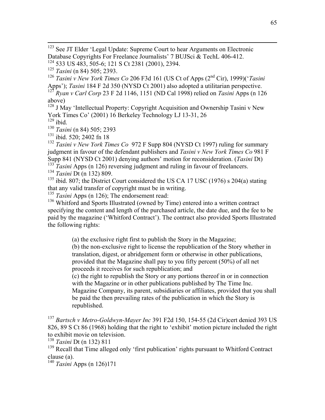<sup>123</sup> See JT Elder 'Legal Update: Supreme Court to hear Arguments on Electronic Database Copyrights For Freelance Journalists' 7 BUJSci & TechL 406-412. 124 533 US 483, 505-6; 121 S Ct 2381 (2001), 2394.

<sup>126</sup> *Tasini v New York Times Co* 206 F3d 161 (US Ct of Apps (2nd Cir), 1999)('*Tasini*  Apps'); *Tasini* 184 F 2d 350 (NYSD Ct 2001) also adopted a utilitarian perspective. <sup>127</sup> *Ryan v Carl Corp* 23 F 2d 1146, 1151 (ND Cal 1998) relied on *Tasini* Apps (n 126

above)

 $128$  J May 'Intellectual Property: Copyright Acquisition and Ownership Tasini v New York Times Co' (2001) 16 Berkeley Technology LJ 13-31, 26  $129$  ibid.

<sup>130</sup> *Tasini* (n 84) 505; 2393

<sup>131</sup> ibid. 520; 2402 fn 18

<sup>132</sup> *Tasini v New York Times Co* 972 F Supp 804 (NYSD Ct 1997) ruling for summary judgment in favour of the defendant publishers and *Tasini v New York Times Co* 981 F Supp 841 (NYSD Ct 2001) denying authors' motion for reconsideration. (*Tasini* Dt)

<sup>133</sup> *Tasini* Apps (n 126) reversing judgment and ruling in favour of freelancers. <sup>134</sup> *Tasini* Dt (n 132) 809.

 $135$  ibid. 807; the District Court considered the US CA 17 USC (1976) s 204(a) stating that any valid transfer of copyright must be in writing.

<sup>135</sup> *Tasini* Apps (n 126); The endorsement read:

<sup>136</sup> Whitford and Sports Illustrated (owned by Time) entered into a written contract specifying the content and length of the purchased article, the date due, and the fee to be paid by the magazine ('Whitford Contract'). The contract also provided Sports Illustrated the following rights:

(a) the exclusive right first to publish the Story in the Magazine;

(b) the non-exclusive right to license the republication of the Story whether in translation, digest, or abridgement form or otherwise in other publications, provided that the Magazine shall pay to you fifty percent (50%) of all net proceeds it receives for such republication; and

(c) the right to republish the Story or any portions thereof in or in connection with the Magazine or in other publications published by The Time Inc. Magazine Company, its parent, subsidiaries or affiliates, provided that you shall be paid the then prevailing rates of the publication in which the Story is republished.

<sup>137</sup> *Bartsch v Metro-Goldwyn-Mayer Inc* 391 F2d 150, 154-55 (2d Cir)cert denied 393 US 826, 89 S Ct 86 (1968) holding that the right to 'exhibit' motion picture included the right to exhibit movie on television.

<sup>138</sup> *Tasini* Dt (n 132) 811

<sup>139</sup> Recall that Time alleged only 'first publication' rights pursuant to Whitford Contract clause (a).

<sup>140</sup> *Tasini* Apps (n 126)171

<sup>125</sup> *Tasini* (n 84) 505; 2393.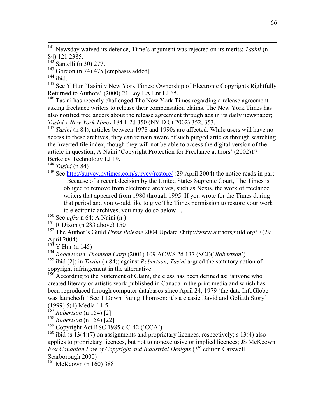141 Newsday waived its defence, Time's argument was rejected on its merits; *Tasini* (n 84) 121 2385.

<sup>145</sup> See Y Hur 'Tasini v New York Times: Ownership of Electronic Copyrights Rightfully Returned to Authors' (2000) 21 Loy LA Ent LJ 65.

<sup>146</sup> Tasini has recently challenged The New York Times regarding a release agreement asking freelance writers to release their compensation claims. The New York Times has also notified freelancers about the release agreement through ads in its daily newspaper; *Tasini v New York Times* 184 F 2d 350 (NY D Ct 2002) 352, 353.

<sup>147</sup> *Tasini* (n 84); articles between 1978 and 1990s are affected. While users will have no access to these archives, they can remain aware of such purged articles through searching the inverted file index, though they will not be able to access the digital version of the article in question; A Naini 'Copyright Protection for Freelance authors' (2002)17 Berkeley Technology LJ 19.

<sup>148</sup> *Tasini* (n 84)

<sup>149</sup> See<http://survey.nytimes.com/survey/restore/>(29 April 2004) the notice reads in part: Because of a recent decision by the United States Supreme Court, The Times is obliged to remove from electronic archives, such as Nexis, the work of freelance writers that appeared from 1980 through 1995. If you wrote for the Times during that period and you would like to give The Times permission to restore your work to electronic archives, you may do so below ...

150 See *infra* n 64; A Naini (n )

<sup>151</sup> R Dixon (n 283 above) 150

152 The Author's Guild *Press Release* 2004 Update <http://www.authorsguild.org/ >(29 April 2004)

 $^{15\overline{3}}$  Y Hur (n 145)

<sup>154</sup> *Robertson v Thomson Corp* (2001) 109 ACWS 2d 137 (SCJ)('*Robertson*')

155 ibid [2]; in *Tasini* (n 84); against *Robertson, Tasini* argued the statutory action of copyright infringement in the alternative.

<sup>156</sup> According to the Statement of Claim, the class has been defined as: 'anyone who created literary or artistic work published in Canada in the print media and which has been reproduced through computer databases since April 24, 1979 (the date InfoGlobe was launched).' See T Down 'Suing Thomson: it's a classic David and Goliath Story' (1999) 5(4) Media 14-5.

<sup>157</sup> *Robertson* (n 154) [2]

<sup>158</sup> *Robertson* (n 154) [22]

<sup>159</sup> Copyright Act RSC 1985 c C-42 ('CCA')

 $160$  ibid ss  $13(4)(7)$  on assignments and proprietary licences, respectively; s 13(4) also applies to proprietary licences, but not to nonexclusive or implied licences; JS McKeown *Fox Canadian Law of Copyright and Industrial Designs* (3rd edition Carswell Scarborough 2000)

 $^{161}$  McKeown (n 160) 388

 $142$  Santelli (n 30) 277.

<sup>&</sup>lt;sup>143</sup> Gordon (n 74) 475 [emphasis added]

 $144$  ibid.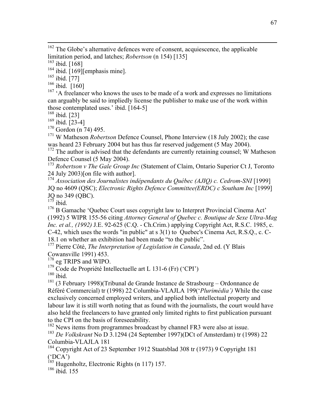<sup>162</sup> The Globe's alternative defences were of consent, acquiescence, the applicable limitation period, and latches; *Robertson* (n 154) [135]

 $163$  ibid. [168]

 $164$  ibid. [169][emphasis mine].

<sup>165</sup> ibid. [77]

 $166$  ibid. [160]

<sup>167</sup> 'A freelancer who knows the uses to be made of a work and expresses no limitations can arguably be said to impliedly license the publisher to make use of the work within those contemplated uses.' ibid. [164-5]

168 ibid. [23]

 $169$  ibid. [23-4]

 $170$  Gordon (n 74) 495.

<sup>171</sup> W Matheson *Robertson* Defence Counsel, Phone Interview (18 July 2002); the case was heard 23 February 2004 but has thus far reserved judgement (5 May 2004).

 $172$  The author is advised that the defendants are currently retaining counsel; W Matheson Defence Counsel (5 May 2004).

<sup>173</sup> *Robertson v The Gale Group Inc* (Statement of Claim, Ontario Superior Ct J, Toronto 24 July 2003)[on file with author].

<sup>174</sup> *Association des Journalistes indépendants du Québec (AJIQ) c. Cedrom-SNI* [1999] JQ no 4609 (QSC); *Electronic Rights Defence Committee(ERDC) c Southam Inc* [1999] JQ no 349 (QBC).

 $175$  ibid.

<sup>176</sup> B Gamache 'Quebec Court uses copyright law to Interpret Provincial Cinema Act' (1992) 5 WIPR 155-56 citing *Attorney General of Quebec c. Boutique de Sexe Ultra-Mag Inc. et al., (1992)* J.E. 92-625 (C.Q. - Ch.Crim.) applying Copyright Act, R.S.C. 1985, c. C-42, which uses the words "in public" at s 3(1) to Quebec's Cinema Act, R.S.Q., c. C-18.1 on whether an exhibition had been made "to the public".

177 Pierre Côté, *The Interpretation of Legislation in Canada*, 2nd ed. (Y Blais Cowansville 1991) 453.

 $178$  eg TRIPS and WIPO.

179 Code de Propriété Intellectuelle art L 131-6 (Fr) ('CPI')

 $\frac{180}{181}$  ibid.

181 (3 February 1998)(Tribunal de Grande Instance de Strasbourg – Ordonnance de Référé Commercial) tr (1998) 22 Columbia-VLAJLA 199('*Plurimédia')* While the case exclusively concerned employed writers, and applied both intellectual property and labour law it is still worth noting that as found with the journalists, the court would have also held the freelancers to have granted only limited rights to first publication pursuant to the CPI on the basis of foreseeability.

<sup>182</sup> News items from programmes broadcast by channel FR3 were also at issue.

<sup>183</sup> *De Volkskrant* No D 3.1294 (24 September 1997)(DCt of Amsterdam) tr (1998) 22 Columbia-VLAJLA 181

184 Copyright Act of 23 September 1912 Staatsblad 308 tr (1973) 9 Copyright 181 ('DCA')

<sup>185</sup> Hugenholtz, Electronic Rights (n 117) 157.

 $186$  ibid. 155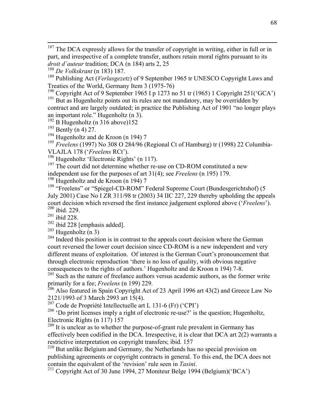$187$  The DCA expressly allows for the transfer of copyright in writing, either in full or in part, and irrespective of a complete transfer, authors retain moral rights pursuant to its *droit d'auteur* tradition; DCA (n 184) arts 2, 25

189 Publishing Act (*Verlasgezetz*) of 9 September 1965 tr UNESCO Copyright Laws and Treaties of the World, Germany Item 3 (1975-76)

<sup>190</sup> Copyright Act of 9 September 1965 I p 1273 no 51 tr (1965) 1 Copyright 251( ${}^{\circ}$ GCA ${}^{\circ}$ )

 $191$  But as Hugenholtz points out its rules are not mandatory, may be overridden by contract and are largely outdated; in practice the Publishing Act of 1901 "no longer plays an important role." Hugenholtz (n 3).

 $192 B$  Hugenholtz (n 316 above)152

 $193$  Bently (n 4) 27.

 $194$  Hugenholtz and de Kroon (n 194) 7

<sup>195</sup> *Freelens* (1997) No 308 O 284/96 (Regional Ct of Hamburg) tr (1998) 22 Columbia-VLAJLA 178 ('*Freelens* RCt').

<sup>196</sup> Hugenholtz 'Electronic Rights' (n 117).

 $197$  The court did not determine whether re-use on CD-ROM constituted a new independent use for the purposes of art 31(4); see *Freelens* (n 195) 179.

198 Hugenholtz and de Kroon (n 194) 7

<sup>199</sup> "Freelens" or "Spiegel-CD-ROM" Federal Supreme Court (Bundesgerichtshof) (5 July 2001) Case No I ZR 311/98 tr (2003) 34 IIC 227, 229 thereby upholding the appeals court decision which reversed the first instance judgement explored above ('*Freelens*'). 200 ibid. 229.

201 ibid 228.

 $202$  ibid 228 [emphasis added].

 $203$  Hugenholtz (n 3)

 $204$  Indeed this position is in contrast to the appeals court decision where the German court reversed the lower court decision since CD-ROM is a new independent and very different means of exploitation. Of interest is the German Court's pronouncement that through electronic reproduction 'there is no loss of quality, with obvious negative consequences to the rights of authors.' Hugenholtz and de Kroon n 194) 7-8.

 $205$  Such as the nature of freelance authors versus academic authors, as the former write primarily for a fee; *Freelens* (n 199) 229.

 $206$  Also featured in Spain Copyright Act of 23 April 1996 art 43(2) and Greece Law No 2121/1993 of 3 March 2993 art 15(4).

<sup>207</sup> Code de Propriété Intellectuelle art L 131-6 (Fr) ('CPI')

 $208$  'Do print licenses imply a right of electronic re-use?' is the question; Hugenholtz, Electronic Rights (n 117) 157

 $209$  It is unclear as to whether the purpose-of-grant rule prevalent in Germany has effectively been codified in the DCA. Irrespective, it is clear that DCA art 2(2) warrants a restrictive interpretation on copyright transfers; ibid. 157

 $210$  But unlike Belgium and Germany, the Netherlands has no special provision on publishing agreements or copyright contracts in general. To this end, the DCA does not contain the equivalent of the 'revision' rule seen in *Tasini*.

<sup>211</sup> Copyright Act of 30 June 1994, 27 Moniteur Belge 1994 (Belgium)('BCA')

<sup>188</sup> *De Volkskrant* (n 183) 187.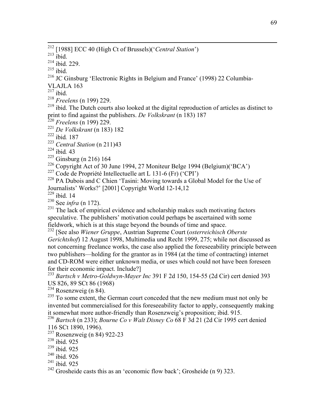212 [1988] ECC 40 (High Ct of Brussels)('*Central Station*')

 $^{213}$  ibid.

214 ibid. 229.

 $215$  ibid.

216 JC Ginsburg 'Electronic Rights in Belgium and France' (1998) 22 Columbia-

VLAJLA 163

 $^{217}$  ibid.

<sup>218</sup> *Freelens* (n 199) 229.

 $219$  ibid. The Dutch courts also looked at the digital reproduction of articles as distinct to print to find against the publishers. *De Volkskrant* (n 183) 187

<sup>220</sup> *Freelens* (n 199) 229.

<sup>221</sup> *De Volkskrant* (n 183) 182

222 ibid*.* 187

<sup>223</sup> *Central Station* (n 211)43

224 ibid*.* 43

 $225$  Ginsburg (n 216) 164

<sup>226</sup> Copyright Act of 30 June 1994, 27 Moniteur Belge 1994 (Belgium)( ${}^{\circ}$ BCA ${}^{\circ}$ )

<sup>227</sup> Code de Propriété Intellectuelle art L 131-6 (Fr) ('CPI')

<sup>228</sup> PA Dubois and C Chien 'Tasini: Moving towards a Global Model for the Use of Journalists' Works?' [2001] Copyright World 12-14,12

 $229$  ibid. 14

230 See *infra* (n 172).

 $231$  The lack of empirical evidence and scholarship makes such motivating factors speculative. The publishers' motivation could perhaps be ascertained with some fieldwork, which is at this stage beyond the bounds of time and space.

232 [See also *Wiener Gruppe*, Austrian Supreme Court (*osterreichisch Oberste Gerichtshof*) 12 August 1998, Multimedia und Recht 1999, 275; while not discussed as not concerning freelance works, the case also applied the foreseeability principle between two publishers—holding for the grantor as in 1984 (at the time of contracting) internet and CD-ROM were either unknown media, or uses which could not have been foreseen for their economic impact. Include?]

<sup>233</sup> *Bartsch v Metro-Goldwyn-Mayer Inc* 391 F 2d 150, 154-55 (2d Cir) cert denied 393 US 826, 89 SCt 86 (1968)

<sup>234</sup> Rosenzweig (n 84).

<sup>235</sup> To some extent, the German court conceded that the new medium must not only be invented but commercialised for this foreseeability factor to apply, consequently making it somewhat more author-friendly than Rosenzweig's proposition; ibid. 915.

<sup>236</sup> *Bartsch* (n 233); *Bourne Co v Walt Disney Co* 68 F 3d 21 (2d Cir 1995 cert denied 116 SCt 1890, 1996).

<sup>237</sup> Rosenzweig (n 84) 922-23

238 ibid. 925

239 ibid. 925

240 ibid. 926

241 ibid. 925

<sup>242</sup> Grosheide casts this as an 'economic flow back'; Grosheide (n 9) 323.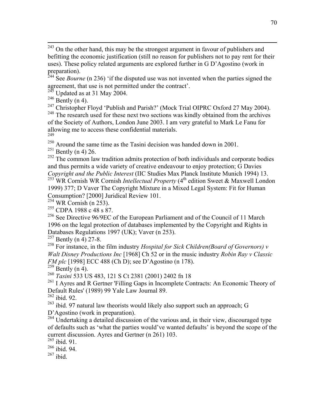<sup>243</sup> On the other hand, this may be the strongest argument in favour of publishers and befitting the economic justification (still no reason for publishers not to pay rent for their uses). These policy related arguments are explored further in G D'Agostino (work in preparation).

<sup>244</sup> See *Bourne* (n 236) 'if the disputed use was not invented when the parties signed the agreement, that use is not permitted under the contract'.

 $245$  Updated as at 31 May 2004.

 $246$  Bently (n 4).

<sup>247</sup> Christopher Floyd 'Publish and Parish?' (Mock Trial OIPRC Oxford 27 May 2004).

<sup>248</sup> The research used for these next two sections was kindly obtained from the archives of the Society of Authors, London June 2003. I am very grateful to Mark Le Fanu for allowing me to access these confidential materials.

 $249$ <br> $250$  Around the same time as the Tasini decision was handed down in 2001.

 $251$  Bently (n 4) 26.

 $252$  The common law tradition admits protection of both individuals and corporate bodies and thus permits a wide variety of creative endeavour to enjoy protection; G Davies *Copyright and the Public Interest* (IIC Studies Max Planck Institute Munich 1994) 13.

<sup>253</sup> WR Cornish WR Cornish *Intellectual Property* (4<sup>th</sup> edition Sweet & Maxwell London 1999) 377; D Vaver The Copyright Mixture in a Mixed Legal System: Fit for Human Consumption? [2000] Juridical Review 101.

 $254$  WR Cornish (n 253).

<sup>255</sup> CDPA 1988 c 48 s 87.

<sup>256</sup> See Directive 96/9EC of the European Parliament and of the Council of 11 March 1996 on the legal protection of databases implemented by the Copyright and Rights in Databases Regulations 1997 (UK); Vaver (n 253).

 $257$  Bently (n 4) 27-8.

258 For instance, in the film industry *Hospital for Sick Children(Board of Governors) v Walt Disney Productions Inc* [1968] Ch 52 or in the music industry *Robin Ray v Classic FM plc* [1998] ECC 488 (Ch D); see D'Agostino (n 178).

 $259$  Bently (n 4).

<sup>260</sup> *Tasini* 533 US 483, 121 S Ct 2381 (2001) 2402 fn 18

<sup>261</sup> I Ayres and R Gertner 'Filling Gaps in Incomplete Contracts: An Economic Theory of Default Rules' (1989) 99 Yale Law Journal 89.

262 ibid. 92.

 $263$  ibid. 97 natural law theorists would likely also support such an approach; G D'Agostino (work in preparation).

 $264$  Undertaking a detailed discussion of the various and, in their view, discouraged type of defaults such as 'what the parties would've wanted defaults' is beyond the scope of the current discussion. Ayres and Gertner (n 261) 103.

265 ibid. 91.

266 ibid. 94.

 $267$  ibid.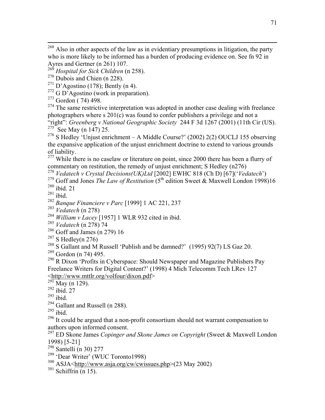$268$  Also in other aspects of the law as in evidentiary presumptions in litigation, the party who is more likely to be informed has a burden of producing evidence on. See fn 92 in Ayres and Gertner (n 261) 107.

<sup>269</sup> *Hospital for Sick Children* (n 258).

<sup>271</sup> D'Agostino (178); Bently (n 4).

 $272$  G D'Agostino (work in preparation).

 $273$  Gordon (74) 498.

 $274$  The same restrictive interpretation was adopted in another case dealing with freelance photographers where s  $201(c)$  was found to confer publishers a privilege and not a "right": *Greenberg v National Geographic Society* 244 F 3d 1267 (2001) (11th Cir (US).  $275$  See May (n 147) 25.

<sup>276</sup> S Hedley 'Unjust enrichment – A Middle Course?' (2002) 2(2) OUCLJ 155 observing the expansive application of the unjust enrichment doctrine to extend to various grounds of liability.

<sup>277</sup> While there is no caselaw or literature on point, since 2000 there has been a flurry of commentary on restitution, the remedy of unjust enrichment; S Hedley (n276)

<sup>278</sup> *Vedatech v Crystal Decisions(UK)Ltd* [2002] EWHC 818 (Ch D) [67]('*Vedatech*')

<sup>279</sup> Goff and Jones *The Law of Restitution* ( $5<sup>th</sup>$  edition Sweet & Maxwell London 1998)16 280 ibid. 21

 $281$  ibid.

<sup>282</sup> *Banque Financiere v Parc* [1999] 1 AC 221, 237

<sup>283</sup> *Vedatech* (n 278)

<sup>284</sup> *William v Lacey* [1957] 1 WLR 932 cited in ibid.

<sup>285</sup> *Vedatech* (n 278) 74

 $286$  Goff and James (n 279) 16

- $287$  S Hedley(n 276)
- <sup>288</sup> S Gallant and M Russell 'Publish and be damned?' (1995) 92(7) LS Gaz 20.

289 Gordon (n 74) 495.

 $290$  R Dixon 'Profits in Cyberspace: Should Newspaper and Magazine Publishers Pay Freelance Writers for Digital Content?' (1998) 4 Mich Telecomm Tech LRev 127 <<http://www.mttlr.org/volfour/dixon.pdf>>

 $291 \text{ May (n 129)}$ .

 $292$  ibid.  $27$ 

293 ibid.

<sup>294</sup> Gallant and Russell (n 288).

 $295$  ibid.

<sup>296</sup> It could be argued that a non-profit consortium should not warrant compensation to authors upon informed consent.

297 ED Skone James *Copinger and Skone James on Copyright* (Sweet & Maxwell London 1998) [5-21]

 $298$  Santelli (n 30) 277

299 'Dear Writer' (WUC Toronto1998)

<sup>300</sup> ASJA<<http://www.asja.org/cw/cwissues.php>>(23 May 2002)

 $301$  Schiffrin (n 15).

 $270$  Dubois and Chien (n 228).